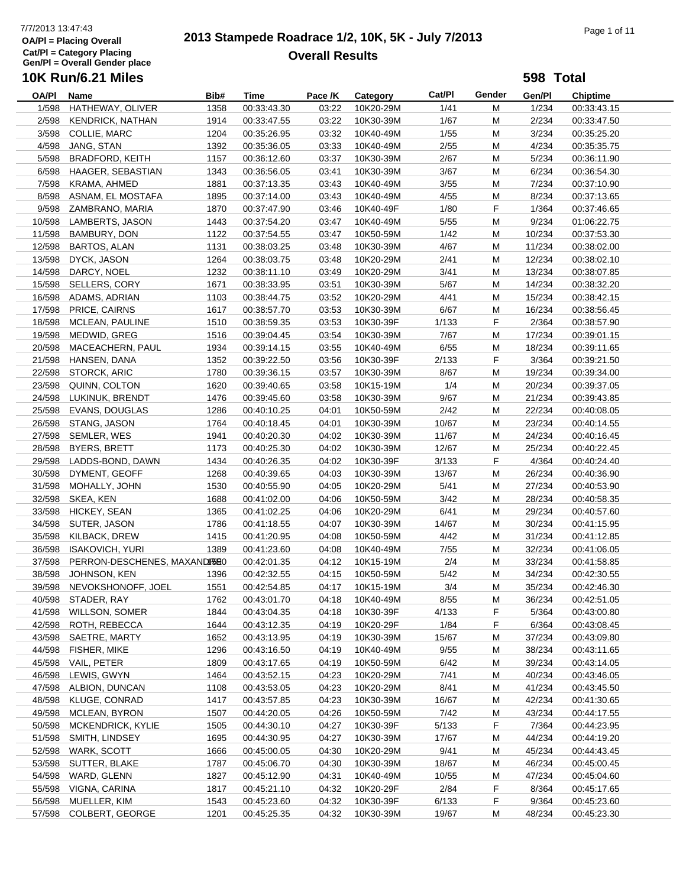#### **OA/Pl = Placing Overall Cat/Pl = Category Placing Gen/Pl = Overall Gender place 10K Run/6.21 Miles**

# 7/7/2013 13:47:43<br> **2013 Stampede Roadrace 1/2, 10K, 5K - July 7/2013** Page 1 of 11 **Overall Results**

| <b>10K Run/6.21 Miles</b><br>598 Total |                                                  |              |                            |                |                        |               |        |                  |                            |
|----------------------------------------|--------------------------------------------------|--------------|----------------------------|----------------|------------------------|---------------|--------|------------------|----------------------------|
| OA/PI                                  | Name                                             | Bib#         | Time                       | Pace /K        | Category               | Cat/PI        | Gender | Gen/Pl           | Chiptime                   |
| 1/598                                  | HATHEWAY, OLIVER                                 | 1358         | 00:33:43.30                | 03:22          | 10K20-29M              | 1/41          | М      | 1/234            | 00:33:43.15                |
|                                        | 2/598 KENDRICK, NATHAN                           | 1914         | 00:33:47.55                | 03:22          | 10K30-39M              | 1/67          | M      | 2/234            | 00:33:47.50                |
|                                        | 3/598 COLLIE, MARC                               | 1204         | 00:35:26.95                | 03:32          | 10K40-49M              | 1/55          | М      | 3/234            | 00:35:25.20                |
|                                        | 4/598 JANG, STAN                                 | 1392         | 00:35:36.05                | 03:33          | 10K40-49M              | 2/55          | М      | 4/234            | 00:35:35.75                |
|                                        | 5/598 BRADFORD, KEITH                            | 1157         | 00:36:12.60                | 03:37          | 10K30-39M              | 2/67          | M      | 5/234            | 00:36:11.90                |
|                                        | 6/598 HAAGER, SEBASTIAN                          | 1343         | 00:36:56.05                | 03:41          | 10K30-39M              | 3/67          | M      | 6/234            | 00:36:54.30                |
|                                        | 7/598 KRAMA, AHMED                               | 1881         | 00:37:13.35                | 03:43          | 10K40-49M              | 3/55          | M      | 7/234            | 00:37:10.90                |
|                                        | 8/598 ASNAM, EL MOSTAFA                          | 1895         | 00:37:14.00                | 03:43          | 10K40-49M              | 4/55          | M      | 8/234            | 00:37:13.65                |
|                                        | 9/598 ZAMBRANO, MARIA                            | 1870         | 00:37:47.90                | 03:46          | 10K40-49F              | 1/80          | F      | 1/364            | 00:37:46.65                |
| 10/598                                 | LAMBERTS, JASON                                  | 1443         | 00:37:54.20                | 03:47          | 10K40-49M              | 5/55          | M      | 9/234            | 01:06:22.75                |
|                                        | 11/598 BAMBURY, DON                              | 1122         | 00:37:54.55                | 03:47          | 10K50-59M              | 1/42          | M      | 10/234           | 00:37:53.30                |
|                                        | 12/598 BARTOS, ALAN                              | 1131         | 00:38:03.25                | 03:48          | 10K30-39M              | 4/67          | M      | 11/234           | 00:38:02.00                |
| 13/598                                 | DYCK, JASON                                      | 1264         | 00:38:03.75                | 03:48          | 10K20-29M              | 2/41          | M      | 12/234           | 00:38:02.10                |
| 14/598                                 | DARCY, NOEL                                      | 1232         | 00:38:11.10                | 03:49          | 10K20-29M              | 3/41          | M      | 13/234           | 00:38:07.85                |
|                                        | 15/598 SELLERS, CORY                             | 1671         | 00:38:33.95                | 03:51          | 10K30-39M              | 5/67          | M      | 14/234           | 00:38:32.20                |
|                                        | 16/598 ADAMS, ADRIAN                             | 1103         | 00:38:44.75                | 03:52          | 10K20-29M              | 4/41          | М      | 15/234           | 00:38:42.15                |
| 17/598                                 | PRICE, CAIRNS                                    | 1617         | 00:38:57.70                | 03:53          | 10K30-39M              | 6/67          | М      | 16/234           | 00:38:56.45                |
| 18/598                                 | MCLEAN, PAULINE                                  | 1510         | 00:38:59.35                | 03:53          | 10K30-39F              | 1/133         | F      | 2/364            | 00:38:57.90                |
| 19/598                                 | MEDWID, GREG                                     | 1516         | 00:39:04.45                | 03:54          | 10K30-39M              | 7/67          | M      | 17/234           | 00:39:01.15                |
| 20/598                                 | MACEACHERN, PAUL                                 | 1934         | 00:39:14.15                | 03:55          | 10K40-49M              | 6/55          | М      | 18/234           | 00:39:11.65                |
|                                        | 21/598 HANSEN, DANA                              | 1352         | 00:39:22.50                | 03:56          | 10K30-39F              | 2/133         | F      | 3/364            | 00:39:21.50                |
|                                        | 22/598 STORCK, ARIC                              | 1780         | 00:39:36.15                | 03:57          | 10K30-39M              | 8/67          | M      | 19/234           | 00:39:34.00                |
| 23/598                                 | QUINN, COLTON                                    | 1620         | 00:39:40.65                | 03:58          | 10K15-19M              | 1/4           | M      | 20/234           | 00:39:37.05                |
|                                        | 24/598 LUKINUK, BRENDT                           | 1476         | 00:39:45.60                | 03:58          | 10K30-39M              | 9/67          | M      | 21/234           | 00:39:43.85                |
| 25/598                                 | EVANS, DOUGLAS                                   | 1286         | 00:40:10.25                | 04:01          | 10K50-59M              | 2/42          | M      | 22/234           | 00:40:08.05                |
|                                        | 26/598 STANG, JASON                              | 1764         | 00:40:18.45                | 04:01          | 10K30-39M              | 10/67         | M      | 23/234           | 00:40:14.55                |
| 27/598                                 | SEMLER, WES                                      | 1941         | 00:40:20.30                | 04:02          | 10K30-39M              | 11/67         | М      | 24/234           | 00:40:16.45                |
| 28/598                                 | <b>BYERS, BRETT</b>                              | 1173         | 00:40:25.30                | 04:02          | 10K30-39M              | 12/67         | M      | 25/234           | 00:40:22.45                |
|                                        | 29/598 LADDS-BOND, DAWN                          | 1434         | 00:40:26.35                | 04:02          | 10K30-39F              | 3/133         | F      | 4/364            | 00:40:24.40                |
| 30/598                                 | DYMENT, GEOFF                                    | 1268         | 00:40:39.65                | 04:03          | 10K30-39M              | 13/67         | M      | 26/234           | 00:40:36.90                |
| 31/598                                 | MOHALLY, JOHN                                    | 1530         | 00:40:55.90                | 04:05          | 10K20-29M              | 5/41          | М      | 27/234           | 00:40:53.90                |
|                                        | 32/598 SKEA, KEN                                 | 1688         | 00:41:02.00                | 04:06          | 10K50-59M              | 3/42          | М      | 28/234           | 00:40:58.35                |
| 33/598                                 | HICKEY, SEAN                                     | 1365         | 00:41:02.25                | 04:06          | 10K20-29M              | 6/41          | M      | 29/234           | 00:40:57.60                |
|                                        | 34/598 SUTER, JASON                              | 1786         | 00:41:18.55                | 04:07          | 10K30-39M              | 14/67         | M      | 30/234           | 00:41:15.95                |
|                                        | 35/598 KILBACK, DREW                             | 1415         | 00:41:20.95                | 04:08          | 10K50-59M              | 4/42          | М      | 31/234           | 00:41:12.85                |
|                                        | 36/598 ISAKOVICH, YURI                           | 1389         | 00:41:23.60                | 04:08          | 10K40-49M              | 7/55          | М      | 32/234           | 00:41:06.05                |
|                                        | 37/598 PERRON-DESCHENES, MAXANDIRSE0             |              | 00:42:01.35                | 04:12          | 10K15-19M              | 2/4<br>$5/42$ | M      | 33/234           | 00:41:58.85                |
|                                        | 38/598 JOHNSON, KEN<br>39/598 NEVOKSHONOFF, JOEL | 1396         | 00:42:32.55<br>00:42:54.85 |                | 04:15  10K50-59M       |               | M      | 34/234<br>35/234 | 00:42:30.55<br>00:42:46.30 |
|                                        | 40/598 STADER, RAY                               | 1551         |                            | 04:17          | 10K15-19M              | 3/4           | M      | 36/234           |                            |
|                                        | 41/598 WILLSON, SOMER                            | 1762<br>1844 | 00:43:01.70<br>00:43:04.35 | 04:18<br>04:18 | 10K40-49M<br>10K30-39F | 8/55<br>4/133 | M<br>F | 5/364            | 00:42:51.05<br>00:43:00.80 |
| 42/598                                 | ROTH, REBECCA                                    | 1644         | 00:43:12.35                | 04:19          | 10K20-29F              | 1/84          | F      | 6/364            | 00:43:08.45                |
|                                        | 43/598 SAETRE, MARTY                             | 1652         | 00:43:13.95                | 04:19          | 10K30-39M              | 15/67         | M      | 37/234           | 00:43:09.80                |
|                                        | 44/598 FISHER, MIKE                              | 1296         | 00:43:16.50                | 04:19          | 10K40-49M              | 9/55          | M      | 38/234           | 00:43:11.65                |
|                                        | 45/598 VAIL, PETER                               | 1809         | 00:43:17.65                | 04:19          | 10K50-59M              | 6/42          | M      | 39/234           | 00:43:14.05                |
|                                        | 46/598 LEWIS, GWYN                               | 1464         | 00:43:52.15                | 04:23          | 10K20-29M              | 7/41          | M      | 40/234           | 00:43:46.05                |
|                                        | 47/598 ALBION, DUNCAN                            | 1108         | 00:43:53.05                | 04:23          | 10K20-29M              | 8/41          | M      | 41/234           | 00:43:45.50                |
|                                        | 48/598 KLUGE, CONRAD                             | 1417         | 00:43:57.85                | 04:23          | 10K30-39M              | 16/67         | M      | 42/234           | 00:41:30.65                |
|                                        | 49/598 MCLEAN, BYRON                             | 1507         | 00:44:20.05                | 04:26          | 10K50-59M              | 7/42          | M      | 43/234           | 00:44:17.55                |
| 50/598                                 | <b>MCKENDRICK, KYLIE</b>                         | 1505         | 00:44:30.10                | 04:27          | 10K30-39F              | 5/133         | F      | 7/364            | 00:44:23.95                |
| 51/598                                 | SMITH, LINDSEY                                   | 1695         | 00:44:30.95                | 04:27          | 10K30-39M              | 17/67         | M      | 44/234           | 00:44:19.20                |
|                                        | 52/598 WARK, SCOTT                               | 1666         | 00:45:00.05                | 04:30          | 10K20-29M              | 9/41          | M      | 45/234           | 00:44:43.45                |
|                                        | 53/598 SUTTER, BLAKE                             | 1787         | 00:45:06.70                | 04:30          | 10K30-39M              | 18/67         | M      | 46/234           | 00:45:00.45                |
|                                        | 54/598 WARD, GLENN                               | 1827         | 00:45:12.90                | 04:31          | 10K40-49M              | 10/55         | M      | 47/234           | 00:45:04.60                |
| 55/598                                 | VIGNA, CARINA                                    | 1817         | 00:45:21.10                | 04:32          | 10K20-29F              | 2/84          | F      | 8/364            | 00:45:17.65                |
| 56/598                                 | MUELLER, KIM                                     | 1543         | 00:45:23.60                | 04:32          | 10K30-39F              | 6/133         | F      | 9/364            | 00:45:23.60                |
| 57/598                                 | <b>COLBERT, GEORGE</b>                           | 1201         | 00:45:25.35                | 04:32          | 10K30-39M              | 19/67         | M      | 48/234           | 00:45:23.30                |
|                                        |                                                  |              |                            |                |                        |               |        |                  |                            |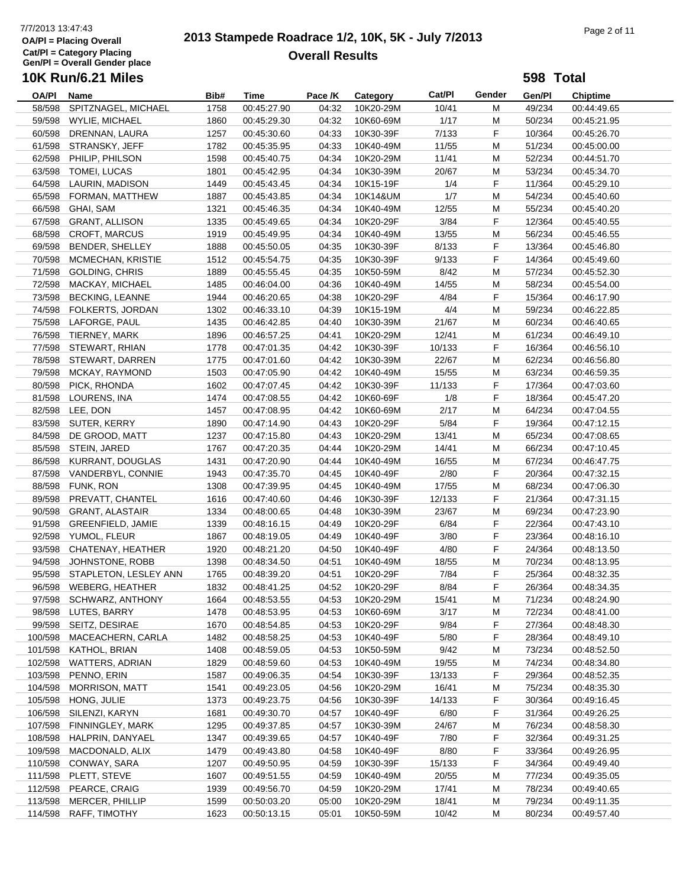# 7/7/2013 13:47:43<br> **2013 Stampede Roadrace 1/2, 10K, 5K - July 7/2013** Page 2 of 11 **Overall Results**

**598 Total**

| OA/PI   | Name                         | Bib# | Time        | Pace /K | <b>Category</b> | Cat/Pl | Gender    | Gen/Pl | <b>Chiptime</b> |
|---------|------------------------------|------|-------------|---------|-----------------|--------|-----------|--------|-----------------|
| 58/598  | SPITZNAGEL, MICHAEL          | 1758 | 00:45:27.90 | 04:32   | 10K20-29M       | 10/41  | M         | 49/234 | 00:44:49.65     |
| 59/598  | WYLIE, MICHAEL               | 1860 | 00:45:29.30 | 04:32   | 10K60-69M       | 1/17   | M         | 50/234 | 00:45:21.95     |
| 60/598  | DRENNAN, LAURA               | 1257 | 00:45:30.60 | 04:33   | 10K30-39F       | 7/133  | F         | 10/364 | 00:45:26.70     |
| 61/598  | STRANSKY, JEFF               | 1782 | 00:45:35.95 | 04:33   | 10K40-49M       | 11/55  | M         | 51/234 | 00:45:00.00     |
| 62/598  | PHILIP, PHILSON              | 1598 | 00:45:40.75 | 04:34   | 10K20-29M       | 11/41  | M         | 52/234 | 00:44:51.70     |
|         | 63/598 TOMEI, LUCAS          | 1801 | 00:45:42.95 | 04:34   | 10K30-39M       | 20/67  | M         | 53/234 | 00:45:34.70     |
| 64/598  | LAURIN, MADISON              | 1449 | 00:45:43.45 | 04:34   | 10K15-19F       | 1/4    | F         | 11/364 | 00:45:29.10     |
| 65/598  | FORMAN, MATTHEW              | 1887 | 00:45:43.85 | 04:34   | 10K14&UM        | 1/7    | M         | 54/234 | 00:45:40.60     |
| 66/598  | GHAI, SAM                    | 1321 | 00:45:46.35 | 04:34   | 10K40-49M       | 12/55  | M         | 55/234 | 00:45:40.20     |
| 67/598  |                              |      |             | 04:34   |                 | 3/84   | F         | 12/364 |                 |
|         | <b>GRANT, ALLISON</b>        | 1335 | 00:45:49.65 |         | 10K20-29F       |        |           |        | 00:45:40.55     |
| 68/598  | <b>CROFT, MARCUS</b>         | 1919 | 00:45:49.95 | 04:34   | 10K40-49M       | 13/55  | M         | 56/234 | 00:45:46.55     |
| 69/598  | BENDER, SHELLEY              | 1888 | 00:45:50.05 | 04:35   | 10K30-39F       | 8/133  | F         | 13/364 | 00:45:46.80     |
|         | 70/598 MCMECHAN, KRISTIE     | 1512 | 00:45:54.75 | 04:35   | 10K30-39F       | 9/133  | F         | 14/364 | 00:45:49.60     |
| 71/598  | GOLDING, CHRIS               | 1889 | 00:45:55.45 | 04:35   | 10K50-59M       | 8/42   | M         | 57/234 | 00:45:52.30     |
| 72/598  | MACKAY, MICHAEL              | 1485 | 00:46:04.00 | 04:36   | 10K40-49M       | 14/55  | M         | 58/234 | 00:45:54.00     |
| 73/598  | <b>BECKING, LEANNE</b>       | 1944 | 00:46:20.65 | 04:38   | 10K20-29F       | 4/84   | F         | 15/364 | 00:46:17.90     |
| 74/598  | FOLKERTS, JORDAN             | 1302 | 00:46:33.10 | 04:39   | 10K15-19M       | 4/4    | M         | 59/234 | 00:46:22.85     |
| 75/598  | LAFORGE, PAUL                | 1435 | 00:46:42.85 | 04:40   | 10K30-39M       | 21/67  | M         | 60/234 | 00:46:40.65     |
|         | 76/598 TIERNEY, MARK         | 1896 | 00:46:57.25 | 04:41   | 10K20-29M       | 12/41  | M         | 61/234 | 00:46:49.10     |
|         | 77/598 STEWART, RHIAN        | 1778 | 00:47:01.35 | 04:42   | 10K30-39F       | 10/133 | F         | 16/364 | 00:46:56.10     |
|         | 78/598 STEWART, DARREN       | 1775 | 00:47:01.60 | 04:42   | 10K30-39M       | 22/67  | M         | 62/234 | 00:46:56.80     |
|         | 79/598 MCKAY, RAYMOND        | 1503 | 00:47:05.90 | 04:42   | 10K40-49M       | 15/55  | M         | 63/234 | 00:46:59.35     |
| 80/598  | PICK, RHONDA                 | 1602 | 00:47:07.45 | 04:42   | 10K30-39F       | 11/133 | F         | 17/364 | 00:47:03.60     |
| 81/598  | LOURENS, INA                 | 1474 | 00:47:08.55 | 04:42   | 10K60-69F       | 1/8    | F         | 18/364 | 00:45:47.20     |
|         | 82/598 LEE, DON              | 1457 | 00:47:08.95 | 04:42   | 10K60-69M       | 2/17   | M         | 64/234 | 00:47:04.55     |
|         | 83/598 SUTER, KERRY          | 1890 | 00:47:14.90 | 04:43   | 10K20-29F       | 5/84   | F         | 19/364 | 00:47:12.15     |
| 84/598  | DE GROOD, MATT               | 1237 | 00:47:15.80 | 04:43   | 10K20-29M       | 13/41  | M         | 65/234 | 00:47:08.65     |
|         | 85/598 STEIN, JARED          | 1767 | 00:47:20.35 | 04:44   | 10K20-29M       | 14/41  | ${\sf M}$ | 66/234 | 00:47:10.45     |
|         | 86/598 KURRANT, DOUGLAS      | 1431 | 00:47:20.90 | 04:44   | 10K40-49M       | 16/55  | M         | 67/234 | 00:46:47.75     |
|         | 87/598 VANDERBYL, CONNIE     | 1943 | 00:47:35.70 | 04:45   | 10K40-49F       | 2/80   | F         | 20/364 | 00:47:32.15     |
| 88/598  | FUNK, RON                    | 1308 | 00:47:39.95 | 04:45   | 10K40-49M       | 17/55  | M         | 68/234 | 00:47:06.30     |
| 89/598  | PREVATT, CHANTEL             | 1616 | 00:47:40.60 | 04:46   | 10K30-39F       | 12/133 | F         | 21/364 | 00:47:31.15     |
| 90/598  | <b>GRANT, ALASTAIR</b>       | 1334 | 00:48:00.65 | 04:48   | 10K30-39M       | 23/67  | M         | 69/234 | 00:47:23.90     |
| 91/598  | GREENFIELD, JAMIE            | 1339 | 00:48:16.15 | 04:49   | 10K20-29F       | 6/84   | F         | 22/364 | 00:47:43.10     |
|         | 92/598 YUMOL, FLEUR          | 1867 | 00:48:19.05 | 04:49   | 10K40-49F       | 3/80   | F         | 23/364 | 00:48:16.10     |
| 93/598  | CHATENAY, HEATHER            | 1920 | 00:48:21.20 | 04:50   | 10K40-49F       | 4/80   | F         | 24/364 | 00:48:13.50     |
| 94/598  | JOHNSTONE, ROBB              | 1398 | 00:48:34.50 | 04:51   | 10K40-49M       | 18/55  | M         | 70/234 | 00:48:13.95     |
|         | 95/598 STAPLETON, LESLEY ANN | 1765 | 00:48:39.20 | 04:51   | 10K20-29F       | 7/84   | F         | 25/364 | 00:48:32.35     |
|         | 96/598 WEBERG, HEATHER       | 1832 |             | 04:52   | 10K20-29F       | 8/84   | F         | 26/364 |                 |
|         |                              |      | 00:48:41.25 |         |                 |        |           |        | 00:48:34.35     |
|         | 97/598 SCHWARZ, ANTHONY      | 1664 | 00:48:53.55 | 04:53   | 10K20-29M       | 15/41  | M         | 71/234 | 00:48:24.90     |
| 98/598  | LUTES, BARRY                 | 1478 | 00:48:53.95 | 04:53   | 10K60-69M       | 3/17   | M         | 72/234 | 00:48:41.00     |
|         | 99/598 SEITZ, DESIRAE        | 1670 | 00:48:54.85 | 04:53   | 10K20-29F       | 9/84   | F         | 27/364 | 00:48:48.30     |
| 100/598 | MACEACHERN, CARLA            | 1482 | 00:48:58.25 | 04:53   | 10K40-49F       | 5/80   | F         | 28/364 | 00:48:49.10     |
| 101/598 | KATHOL, BRIAN                | 1408 | 00:48:59.05 | 04:53   | 10K50-59M       | 9/42   | M         | 73/234 | 00:48:52.50     |
|         | 102/598 WATTERS, ADRIAN      | 1829 | 00:48:59.60 | 04:53   | 10K40-49M       | 19/55  | M         | 74/234 | 00:48:34.80     |
| 103/598 | PENNO, ERIN                  | 1587 | 00:49:06.35 | 04:54   | 10K30-39F       | 13/133 | F.        | 29/364 | 00:48:52.35     |
| 104/598 | <b>MORRISON, MATT</b>        | 1541 | 00:49:23.05 | 04:56   | 10K20-29M       | 16/41  | M         | 75/234 | 00:48:35.30     |
| 105/598 | HONG, JULIE                  | 1373 | 00:49:23.75 | 04:56   | 10K30-39F       | 14/133 | F         | 30/364 | 00:49:16.45     |
| 106/598 | SILENZI, KARYN               | 1681 | 00:49:30.70 | 04:57   | 10K40-49F       | 6/80   | F         | 31/364 | 00:49:26.25     |
| 107/598 | FINNINGLEY, MARK             | 1295 | 00:49:37.85 | 04:57   | 10K30-39M       | 24/67  | M         | 76/234 | 00:48:58.30     |
| 108/598 | HALPRIN, DANYAEL             | 1347 | 00:49:39.65 | 04:57   | 10K40-49F       | 7/80   | F.        | 32/364 | 00:49:31.25     |
| 109/598 | MACDONALD, ALIX              | 1479 | 00:49:43.80 | 04:58   | 10K40-49F       | 8/80   | F         | 33/364 | 00:49:26.95     |
|         | 110/598 CONWAY, SARA         | 1207 | 00:49:50.95 | 04:59   | 10K30-39F       | 15/133 | F         | 34/364 | 00:49:49.40     |
|         | 111/598 PLETT, STEVE         | 1607 | 00:49:51.55 | 04:59   | 10K40-49M       | 20/55  | M         | 77/234 | 00:49:35.05     |
| 112/598 | PEARCE, CRAIG                | 1939 | 00:49:56.70 | 04:59   | 10K20-29M       | 17/41  | M         | 78/234 | 00:49:40.65     |
| 113/598 | MERCER, PHILLIP              | 1599 | 00:50:03.20 | 05:00   | 10K20-29M       | 18/41  | M         | 79/234 | 00:49:11.35     |
| 114/598 | RAFF, TIMOTHY                | 1623 | 00:50:13.15 | 05:01   | 10K50-59M       | 10/42  | M         | 80/234 | 00:49:57.40     |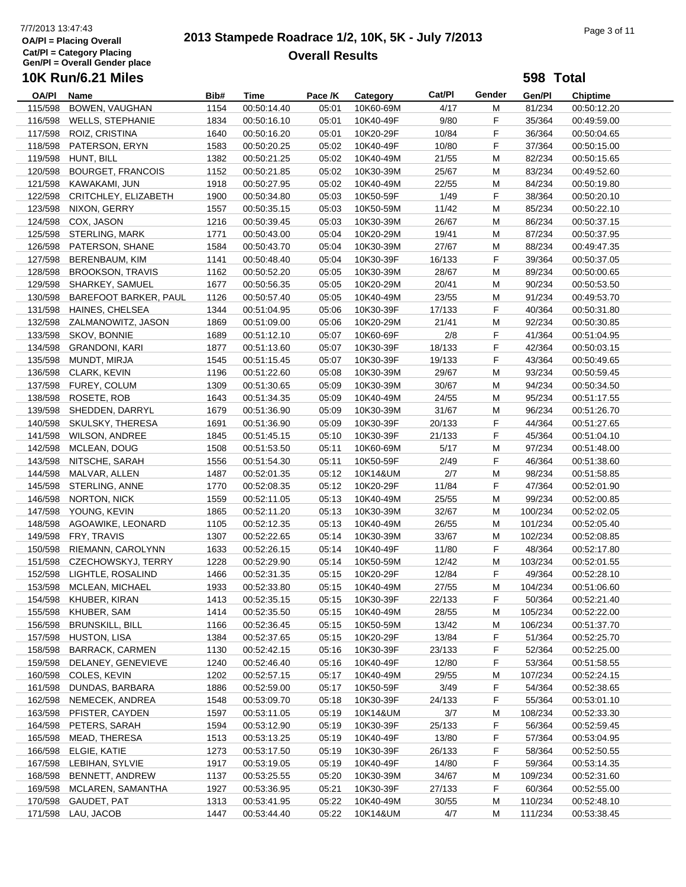# 7/7/2013 13:47:43<br> **2013 Stampede Roadrace 1/2, 10K, 5K - July 7/2013** Page 3 of 11 **Overall Results**

**598 Total**

| <b>OA/PI</b> | Name                     | Bib# | Time        | Pace /K | Category  | Cat/Pl | Gender | Gen/Pl  | <b>Chiptime</b> |
|--------------|--------------------------|------|-------------|---------|-----------|--------|--------|---------|-----------------|
| 115/598      | BOWEN, VAUGHAN           | 1154 | 00:50:14.40 | 05:01   | 10K60-69M | 4/17   | M      | 81/234  | 00:50:12.20     |
| 116/598      | <b>WELLS, STEPHANIE</b>  | 1834 | 00:50:16.10 | 05:01   | 10K40-49F | 9/80   | F      | 35/364  | 00:49:59.00     |
| 117/598      | ROIZ, CRISTINA           | 1640 | 00:50:16.20 | 05:01   | 10K20-29F | 10/84  | F      | 36/364  | 00:50:04.65     |
| 118/598      | PATERSON, ERYN           | 1583 | 00:50:20.25 | 05:02   | 10K40-49F | 10/80  | F      | 37/364  | 00:50:15.00     |
|              |                          |      |             |         |           |        |        |         |                 |
| 119/598      | HUNT, BILL               | 1382 | 00:50:21.25 | 05:02   | 10K40-49M | 21/55  | M      | 82/234  | 00:50:15.65     |
| 120/598      | <b>BOURGET, FRANCOIS</b> | 1152 | 00:50:21.85 | 05:02   | 10K30-39M | 25/67  | M      | 83/234  | 00:49:52.60     |
| 121/598      | KAWAKAMI, JUN            | 1918 | 00:50:27.95 | 05:02   | 10K40-49M | 22/55  | M      | 84/234  | 00:50:19.80     |
| 122/598      | CRITCHLEY, ELIZABETH     | 1900 | 00:50:34.80 | 05:03   | 10K50-59F | 1/49   | F      | 38/364  | 00:50:20.10     |
| 123/598      | NIXON, GERRY             | 1557 | 00:50:35.15 | 05:03   | 10K50-59M | 11/42  | M      | 85/234  | 00:50:22.10     |
| 124/598      | COX, JASON               | 1216 | 00:50:39.45 | 05:03   | 10K30-39M | 26/67  | м      | 86/234  | 00:50:37.15     |
|              | 125/598 STERLING, MARK   | 1771 | 00:50:43.00 | 05:04   | 10K20-29M | 19/41  | М      | 87/234  | 00:50:37.95     |
| 126/598      | PATERSON, SHANE          | 1584 | 00:50:43.70 | 05:04   | 10K30-39M | 27/67  | M      | 88/234  | 00:49:47.35     |
| 127/598      | BERENBAUM, KIM           | 1141 | 00:50:48.40 | 05:04   | 10K30-39F | 16/133 | F      | 39/364  | 00:50:37.05     |
| 128/598      | <b>BROOKSON, TRAVIS</b>  | 1162 | 00:50:52.20 | 05:05   | 10K30-39M | 28/67  | M      | 89/234  | 00:50:00.65     |
|              | 129/598 SHARKEY, SAMUEL  | 1677 | 00:50:56.35 | 05:05   | 10K20-29M | 20/41  | M      | 90/234  | 00:50:53.50     |
| 130/598      | BAREFOOT BARKER, PAUL    | 1126 | 00:50:57.40 | 05:05   | 10K40-49M | 23/55  | M      | 91/234  | 00:49:53.70     |
|              |                          |      |             |         |           |        |        | 40/364  |                 |
| 131/598      | <b>HAINES, CHELSEA</b>   | 1344 | 00:51:04.95 | 05:06   | 10K30-39F | 17/133 | F      |         | 00:50:31.80     |
| 132/598      | ZALMANOWITZ, JASON       | 1869 | 00:51:09.00 | 05:06   | 10K20-29M | 21/41  | M      | 92/234  | 00:50:30.85     |
| 133/598      | SKOV, BONNIE             | 1689 | 00:51:12.10 | 05:07   | 10K60-69F | 2/8    | F      | 41/364  | 00:51:04.95     |
| 134/598      | <b>GRANDONI, KARI</b>    | 1877 | 00:51:13.60 | 05:07   | 10K30-39F | 18/133 | F      | 42/364  | 00:50:03.15     |
| 135/598      | MUNDT, MIRJA             | 1545 | 00:51:15.45 | 05:07   | 10K30-39F | 19/133 | F      | 43/364  | 00:50:49.65     |
| 136/598      | CLARK, KEVIN             | 1196 | 00:51:22.60 | 05:08   | 10K30-39M | 29/67  | M      | 93/234  | 00:50:59.45     |
|              | 137/598 FUREY, COLUM     | 1309 | 00:51:30.65 | 05:09   | 10K30-39M | 30/67  | M      | 94/234  | 00:50:34.50     |
| 138/598      | ROSETE, ROB              | 1643 | 00:51:34.35 | 05:09   | 10K40-49M | 24/55  | M      | 95/234  | 00:51:17.55     |
| 139/598      | SHEDDEN, DARRYL          | 1679 | 00:51:36.90 | 05:09   | 10K30-39M | 31/67  | M      | 96/234  | 00:51:26.70     |
| 140/598      | SKULSKY, THERESA         | 1691 | 00:51:36.90 | 05:09   | 10K30-39F | 20/133 | F      | 44/364  | 00:51:27.65     |
| 141/598      | <b>WILSON, ANDREE</b>    | 1845 | 00:51:45.15 | 05:10   | 10K30-39F | 21/133 | F      | 45/364  | 00:51:04.10     |
| 142/598      | MCLEAN, DOUG             | 1508 | 00:51:53.50 | 05:11   | 10K60-69M | 5/17   | M      | 97/234  | 00:51:48.00     |
|              |                          |      |             |         |           |        |        |         |                 |
| 143/598      | NITSCHE, SARAH           | 1556 | 00:51:54.30 | 05:11   | 10K50-59F | 2/49   | F      | 46/364  | 00:51:38.60     |
| 144/598      | MALVAR, ALLEN            | 1487 | 00:52:01.35 | 05:12   | 10K14&UM  | 2/7    | M      | 98/234  | 00:51:58.85     |
| 145/598      | STERLING, ANNE           | 1770 | 00:52:08.35 | 05:12   | 10K20-29F | 11/84  | F      | 47/364  | 00:52:01.90     |
| 146/598      | <b>NORTON, NICK</b>      | 1559 | 00:52:11.05 | 05:13   | 10K40-49M | 25/55  | M      | 99/234  | 00:52:00.85     |
| 147/598      | YOUNG, KEVIN             | 1865 | 00:52:11.20 | 05:13   | 10K30-39M | 32/67  | M      | 100/234 | 00:52:02.05     |
| 148/598      | AGOAWIKE, LEONARD        | 1105 | 00:52:12.35 | 05:13   | 10K40-49M | 26/55  | M      | 101/234 | 00:52:05.40     |
| 149/598      | FRY, TRAVIS              | 1307 | 00:52:22.65 | 05:14   | 10K30-39M | 33/67  | M      | 102/234 | 00:52:08.85     |
| 150/598      | RIEMANN, CAROLYNN        | 1633 | 00:52:26.15 | 05:14   | 10K40-49F | 11/80  | F      | 48/364  | 00:52:17.80     |
| 151/598      | CZECHOWSKYJ, TERRY       | 1228 | 00:52:29.90 | 05:14   | 10K50-59M | 12/42  | M      | 103/234 | 00:52:01.55     |
| 152/598      | LIGHTLE, ROSALIND        | 1466 | 00:52:31.35 | 05:15   | 10K20-29F | 12/84  | F      | 49/364  | 00:52:28.10     |
|              | 153/598 MCLEAN, MICHAEL  | 1933 | 00:52:33.80 | 05:15   | 10K40-49M | 27/55  | M      | 104/234 | 00:51:06.60     |
|              | 154/598 KHUBER, KIRAN    | 1413 | 00:52:35.15 | 05:15   | 10K30-39F | 22/133 | F      | 50/364  | 00:52:21.40     |
| 155/598      | KHUBER, SAM              | 1414 | 00:52:35.50 | 05:15   | 10K40-49M | 28/55  | M      | 105/234 | 00:52:22.00     |
|              |                          |      |             |         |           |        |        |         |                 |
| 156/598      | <b>BRUNSKILL, BILL</b>   | 1166 | 00:52:36.45 | 05:15   | 10K50-59M | 13/42  | M      | 106/234 | 00:51:37.70     |
| 157/598      | <b>HUSTON, LISA</b>      | 1384 | 00:52:37.65 | 05:15   | 10K20-29F | 13/84  | F.     | 51/364  | 00:52:25.70     |
| 158/598      | <b>BARRACK, CARMEN</b>   | 1130 | 00:52:42.15 | 05:16   | 10K30-39F | 23/133 | F.     | 52/364  | 00:52:25.00     |
| 159/598      | DELANEY, GENEVIEVE       | 1240 | 00:52:46.40 | 05:16   | 10K40-49F | 12/80  | F.     | 53/364  | 00:51:58.55     |
| 160/598      | COLES, KEVIN             | 1202 | 00:52:57.15 | 05:17   | 10K40-49M | 29/55  | M      | 107/234 | 00:52:24.15     |
| 161/598      | DUNDAS, BARBARA          | 1886 | 00:52:59.00 | 05:17   | 10K50-59F | 3/49   | F      | 54/364  | 00:52:38.65     |
| 162/598      | NEMECEK, ANDREA          | 1548 | 00:53:09.70 | 05:18   | 10K30-39F | 24/133 | F      | 55/364  | 00:53:01.10     |
| 163/598      | PFISTER, CAYDEN          | 1597 | 00:53:11.05 | 05:19   | 10K14&UM  | 3/7    | M      | 108/234 | 00:52:33.30     |
| 164/598      | PETERS, SARAH            | 1594 | 00:53:12.90 | 05:19   | 10K30-39F | 25/133 | F.     | 56/364  | 00:52:59.45     |
| 165/598      | MEAD, THERESA            | 1513 | 00:53:13.25 | 05:19   | 10K40-49F | 13/80  | F.     | 57/364  | 00:53:04.95     |
| 166/598      | ELGIE, KATIE             | 1273 | 00:53:17.50 | 05:19   | 10K30-39F | 26/133 | F.     | 58/364  | 00:52:50.55     |
| 167/598      | LEBIHAN, SYLVIE          | 1917 | 00:53:19.05 | 05:19   | 10K40-49F | 14/80  | F      | 59/364  | 00:53:14.35     |
| 168/598      | BENNETT, ANDREW          | 1137 | 00:53:25.55 | 05:20   | 10K30-39M | 34/67  | M      | 109/234 | 00:52:31.60     |
|              |                          |      |             |         |           |        |        |         |                 |
| 169/598      | MCLAREN, SAMANTHA        | 1927 | 00:53:36.95 | 05:21   | 10K30-39F | 27/133 | F      | 60/364  | 00:52:55.00     |
| 170/598      | GAUDET, PAT              | 1313 | 00:53:41.95 | 05:22   | 10K40-49M | 30/55  | M      | 110/234 | 00:52:48.10     |
| 171/598      | LAU, JACOB               | 1447 | 00:53:44.40 | 05:22   | 10K14&UM  | 4/7    | M      | 111/234 | 00:53:38.45     |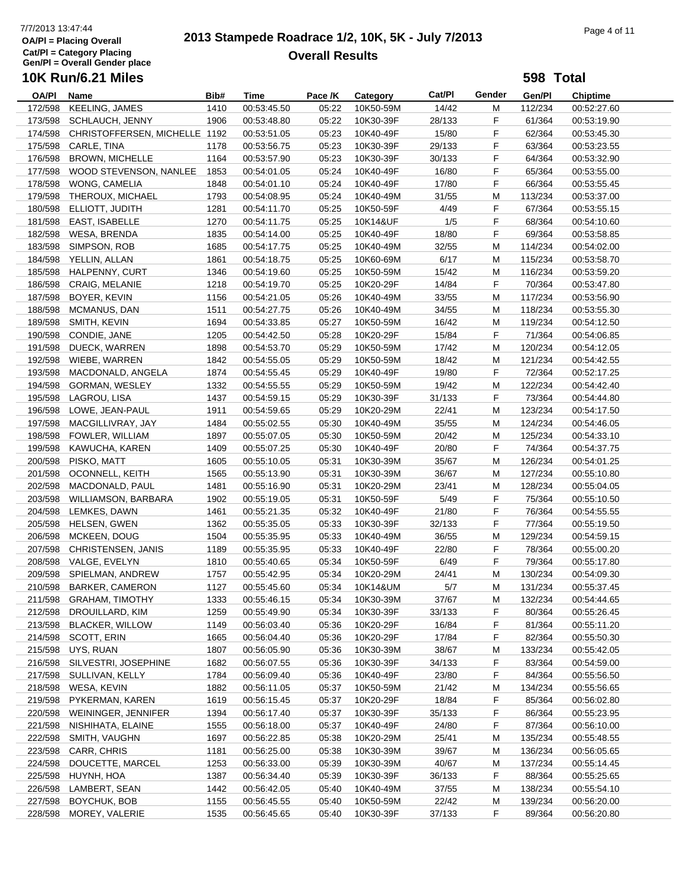#### **OA/Pl = Placing Overall Cat/Pl = Category Placing Gen/Pl = Overall Gender place 10K Run/6.21 Miles**

# 7/7/2013 13:47:44<br> **2013 Stampede Roadrace 1/2, 10K, 5K - July 7/2013** Page 4 of 11 **Overall Results**

**598 Total**

#### **OA/Pl Name Bib# Time Category Cat/Pl Gen/Pl Chiptime** Pace /K Category Cat/Pl Gender 172/598 KEELING, JAMES 1410 00:53:45.50 05:22 10K50-59M 14/42 M 112/234 00:52:27.60 173/598 SCHLAUCH, JENNY 1906 00:53:48.80 05:22 10K30-39F 28/133 F 61/364 00:53:19.90 174/598 CHRISTOFFERSEN, MICHELLE 1192 00:53:51.05 05:23 10K40-49F 15/80 F 62/364 00:53:45.30 175/598 CARLE, TINA 1178 00:53:56.75 05:23 10K30-39F 29/133 F 63/364 00:53:23.55 176/598 BROWN, MICHELLE 1164 00:53:57.90 05:23 10K30-39F 30/133 F 64/364 00:53:32.90 177/598 WOOD STEVENSON, NANLEE 1853 00:54:01.05 05:24 10K40-49F 16/80 F 65/364 00:53:55.00 178/598 WONG, CAMELIA 1848 00:54:01.10 05:24 10K40-49F 17/80 F 66/364 00:53:55.45 179/598 THEROUX, MICHAEL 1793 00:54:08.95 05:24 10K40-49M 31/55 M 113/234 00:53:37.00 180/598 ELLIOTT, JUDITH 1281 00:54:11.70 05:25 10K50-59F 4/49 F 67/364 00:53:55.15 181/598 EAST, ISABELLE 1270 00:54:11.75 05:25 10K14&UF 1/5 F 68/364 00:54:10.60 182/598 WESA, BRENDA 1835 00:54:14.00 05:25 10K40-49F 18/80 F 69/364 00:53:58.85 183/598 SIMPSON, ROB 1685 00:54:17.75 05:25 10K40-49M 32/55 M 114/234 00:54:02.00 184/598 YELLIN, ALLAN 1861 00:54:18.75 05:25 10K60-69M 6/17 M 115/234 00:53:58.70 185/598 HALPENNY, CURT 1346 00:54:19.60 05:25 10K50-59M 15/42 M 116/234 00:53:59.20 186/598 CRAIG, MELANIE 1218 00:54:19.70 05:25 10K20-29F 14/84 F 70/364 00:53:47.80 187/598 BOYER, KEVIN 1156 00:54:21.05 05:26 10K40-49M 33/55 M 117/234 00:53:56.90 188/598 MCMANUS, DAN 1511 00:54:27.75 05:26 10K40-49M 34/55 M 118/234 00:53:55.30 189/598 SMITH, KEVIN 1694 00:54:33.85 05:27 10K50-59M 16/42 M 119/234 00:54:12.50 190/598 CONDIE, JANE 1205 00:54:42.50 05:28 10K20-29F 15/84 F 71/364 00:54:06.85 191/598 DUECK, WARREN 1898 00:54:53.70 05:29 10K50-59M 17/42 M 120/234 00:54:12.05 192/598 WIEBE, WARREN 1842 00:54:55.05 05:29 10K50-59M 18/42 M 121/234 00:54:42.55 193/598 MACDONALD, ANGELA 1874 00:54:55.45 05:29 10K40-49F 19/80 F 72/364 00:52:17.25 194/598 GORMAN, WESLEY 1332 00:54:55.55 05:29 10K50-59M 19/42 M 122/234 00:54:42.40 195/598 LAGROU, LISA 1437 00:54:59.15 05:29 10K30-39F 31/133 F 73/364 00:54:44.80 196/598 LOWE, JEAN-PAUL 1911 00:54:59.65 05:29 10K20-29M 22/41 M 123/234 00:54:17.50 197/598 MACGILLIVRAY, JAY 1484 00:55:02.55 05:30 10K40-49M 35/55 M 124/234 00:54:46.05 198/598 FOWLER, WILLIAM 1897 00:55:07.05 05:30 10K50-59M 20/42 M 125/234 00:54:33.10 199/598 KAWUCHA, KAREN 1409 00:55:07.25 05:30 10K40-49F 20/80 F 74/364 00:54:37.75 200/598 PISKO, MATT 1605 00:55:10.05 05:31 10K30-39M 35/67 M 126/234 00:54:01.25 201/598 OCONNELL, KEITH 1565 00:55:13.90 05:31 10K30-39M 36/67 M 127/234 00:55:10.80 202/598 MACDONALD, PAUL 1481 00:55:16.90 05:31 10K20-29M 23/41 M 128/234 00:55:04.05 203/598 WILLIAMSON, BARBARA 1902 00:55:19.05 05:31 10K50-59F 5/49 F 75/364 00:55:10.50 204/598 LEMKES, DAWN 1461 00:55:21.35 05:32 10K40-49F 21/80 F 76/364 00:54:55.55 205/598 HELSEN, GWEN 1362 00:55:35.05 05:33 10K30-39F 32/133 F 77/364 00:55:19.50 206/598 MCKEEN, DOUG 1504 00:55:35.95 05:33 10K40-49M 36/55 M 129/234 00:54:59.15 207/598 CHRISTENSEN, JANIS 1189 00:55:35.95 05:33 10K40-49F 22/80 F 78/364 00:55:00.20 208/598 VALGE, EVELYN 1810 00:55:40.65 05:34 10K50-59F 6/49 F 79/364 00:55:17.80 209/598 SPIELMAN, ANDREW 1757 00:55:42.95 05:34 10K20-29M 24/41 M 130/234 00:54:09.30 210/598 BARKER, CAMERON 1127 00:55:45.60 05:34 10K14&UM 5/7 M 131/234 00:55:37.45 211/598 GRAHAM, TIMOTHY 1333 00:55:46.15 05:34 10K30-39M 37/67 M 132/234 00:54:44.65 212/598 DROUILLARD, KIM 1259 00:55:49.90 05:34 10K30-39F 33/133 F 80/364 00:55:26.45 213/598 BLACKER, WILLOW 1149 00:56:03.40 05:36 10K20-29F 16/84 F 81/364 00:55:11.20 214/598 SCOTT, ERIN 1665 00:56:04.40 05:36 10K20-29F 17/84 F 82/364 00:55:50.30 215/598 UYS, RUAN 1807 00:56:05.90 05:36 10K30-39M 38/67 M 133/234 00:55:42.05 216/598 SILVESTRI, JOSEPHINE 1682 00:56:07.55 05:36 10K30-39F 34/133 F 83/364 00:54:59.00 217/598 SULLIVAN, KELLY 1784 00:56:09.40 05:36 10K40-49F 23/80 F 84/364 00:55:56.50 218/598 WESA, KEVIN 1882 00:56:11.05 05:37 10K50-59M 21/42 M 134/234 00:55:56.65 219/598 PYKERMAN, KAREN 1619 00:56:15.45 05:37 10K20-29F 18/84 F 85/364 00:56:02.80 220/598 WEININGER, JENNIFER 1394 00:56:17.40 05:37 10K30-39F 35/133 F 86/364 00:55:23.95 221/598 NISHIHATA, ELAINE 1555 00:56:18.00 05:37 10K40-49F 24/80 F 87/364 00:56:10.00 222/598 SMITH, VAUGHN 1697 00:56:22.85 05:38 10K20-29M 25/41 M 135/234 00:55:48.55 223/598 CARR, CHRIS 1181 00:56:25.00 05:38 10K30-39M 39/67 M 136/234 00:56:05.65 224/598 DOUCETTE, MARCEL 1253 00:56:33.00 05:39 10K30-39M 40/67 M 137/234 00:55:14.45 225/598 HUYNH, HOA 1387 00:56:34.40 05:39 10K30-39F 36/133 F 88/364 00:55:25.65 226/598 LAMBERT, SEAN 1442 00:56:42.05 05:40 10K40-49M 37/55 M 138/234 00:55:54.10

227/598 BOYCHUK, BOB 1155 00:56:45.55 05:40 10K50-59M 22/42 M 139/234 00:56:20.00 228/598 MOREY, VALERIE 1535 00:56:45.65 05:40 10K30-39F 37/133 F 89/364 00:56:20.80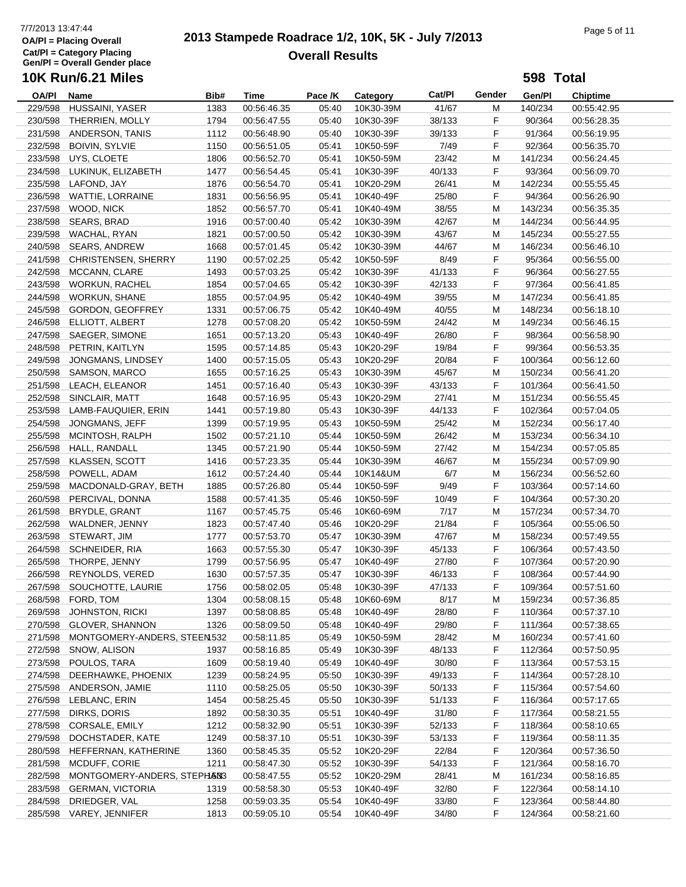# 7/7/2013 13:47:44<br> **2013 Stampede Roadrace 1/2, 10K, 5K - July 7/2013** Page 5 of 11 **Overall Results**

**598 Total**

| OA/PI              | Name                        | Bib# | Time        | Pace /K | Category               | Cat/Pl | Gender | Gen/Pl  | <b>Chiptime</b> |
|--------------------|-----------------------------|------|-------------|---------|------------------------|--------|--------|---------|-----------------|
| 229/598            | HUSSAINI, YASER             | 1383 | 00:56:46.35 | 05:40   | 10K30-39M              | 41/67  | М      | 140/234 | 00:55:42.95     |
| 230/598            | THERRIEN, MOLLY             | 1794 | 00:56:47.55 | 05:40   | 10K30-39F              | 38/133 | F      | 90/364  | 00:56:28.35     |
| 231/598            | ANDERSON, TANIS             | 1112 | 00:56:48.90 | 05:40   | 10K30-39F              | 39/133 | F      | 91/364  | 00:56:19.95     |
| 232/598            | <b>BOIVIN, SYLVIE</b>       | 1150 | 00:56:51.05 | 05:41   | 10K50-59F              | 7/49   | F      | 92/364  | 00:56:35.70     |
| 233/598            | UYS, CLOETE                 | 1806 | 00:56:52.70 | 05:41   | 10K50-59M              | 23/42  | М      | 141/234 | 00:56:24.45     |
| 234/598            | LUKINUK, ELIZABETH          | 1477 | 00:56:54.45 | 05:41   | 10K30-39F              | 40/133 | F      | 93/364  | 00:56:09.70     |
|                    | 235/598 LAFOND, JAY         | 1876 | 00:56:54.70 | 05:41   | 10K20-29M              | 26/41  | М      | 142/234 | 00:55:55.45     |
| 236/598            | <b>WATTIE, LORRAINE</b>     | 1831 | 00:56:56.95 | 05:41   | 10K40-49F              | 25/80  | F      | 94/364  | 00:56:26.90     |
| 237/598            | WOOD, NICK                  | 1852 | 00:56:57.70 | 05:41   | 10K40-49M              | 38/55  | М      | 143/234 | 00:56:35.35     |
| 238/598            | SEARS, BRAD                 | 1916 | 00:57:00.40 | 05:42   | 10K30-39M              | 42/67  | М      | 144/234 | 00:56:44.95     |
|                    | 239/598 WACHAL, RYAN        | 1821 | 00:57:00.50 | 05:42   | 10K30-39M              | 43/67  | M      | 145/234 | 00:55:27.55     |
| 240/598            | <b>SEARS, ANDREW</b>        | 1668 | 00:57:01.45 | 05:42   | 10K30-39M              | 44/67  | M      | 146/234 | 00:56:46.10     |
| 241/598            | CHRISTENSEN, SHERRY         | 1190 | 00:57:02.25 | 05:42   | 10K50-59F              | 8/49   | F      | 95/364  | 00:56:55.00     |
| 242/598            | MCCANN, CLARE               | 1493 | 00:57:03.25 | 05:42   | 10K30-39F              | 41/133 | F      | 96/364  | 00:56:27.55     |
| 243/598            | <b>WORKUN, RACHEL</b>       | 1854 | 00:57:04.65 | 05:42   | 10K30-39F              | 42/133 | F      | 97/364  | 00:56:41.85     |
| 244/598            | <b>WORKUN, SHANE</b>        | 1855 | 00:57:04.95 | 05:42   | 10K40-49M              | 39/55  | М      | 147/234 | 00:56:41.85     |
| 245/598            | <b>GORDON, GEOFFREY</b>     | 1331 | 00:57:06.75 | 05:42   | 10K40-49M              | 40/55  | М      | 148/234 | 00:56:18.10     |
| 246/598            | ELLIOTT, ALBERT             | 1278 | 00:57:08.20 | 05:42   | 10K50-59M              | 24/42  | М      | 149/234 | 00:56:46.15     |
| 247/598            | SAEGER, SIMONE              | 1651 | 00:57:13.20 | 05:43   | 10K40-49F              | 26/80  | F      | 98/364  | 00:56:58.90     |
| 248/598            | PETRIN, KAITLYN             | 1595 | 00:57:14.85 | 05:43   | 10K20-29F              | 19/84  | F      | 99/364  | 00:56:53.35     |
| 249/598            | JONGMANS, LINDSEY           | 1400 | 00:57:15.05 | 05:43   | 10K20-29F              | 20/84  | F      | 100/364 | 00:56:12.60     |
| 250/598            | SAMSON, MARCO               | 1655 | 00:57:16.25 | 05:43   | 10K30-39M              | 45/67  | M      | 150/234 | 00:56:41.20     |
| 251/598            | LEACH, ELEANOR              | 1451 | 00:57:16.40 | 05:43   | 10K30-39F              | 43/133 | F      | 101/364 | 00:56:41.50     |
| 252/598            | SINCLAIR, MATT              | 1648 | 00:57:16.95 | 05:43   | 10K20-29M              | 27/41  | M      | 151/234 | 00:56:55.45     |
| 253/598            | LAMB-FAUQUIER, ERIN         | 1441 | 00:57:19.80 | 05:43   | 10K30-39F              | 44/133 | F      | 102/364 | 00:57:04.05     |
| 254/598            | JONGMANS, JEFF              | 1399 | 00:57:19.95 | 05:43   | 10K50-59M              | 25/42  | М      | 152/234 | 00:56:17.40     |
| 255/598            | MCINTOSH, RALPH             | 1502 | 00:57:21.10 | 05:44   | 10K50-59M              | 26/42  | M      | 153/234 |                 |
| 256/598            | HALL, RANDALL               | 1345 | 00:57:21.90 | 05:44   |                        | 27/42  | M      | 154/234 | 00:56:34.10     |
| 257/598            | <b>KLASSEN, SCOTT</b>       | 1416 | 00:57:23.35 | 05:44   | 10K50-59M<br>10K30-39M | 46/67  | М      |         | 00:57:05.85     |
|                    |                             |      |             |         |                        |        |        | 155/234 | 00:57:09.90     |
| 258/598            | POWELL, ADAM                | 1612 | 00:57:24.40 | 05:44   | 10K14&UM               | 6/7    | М<br>F | 156/234 | 00:56:52.60     |
| 259/598<br>260/598 | MACDONALD-GRAY, BETH        | 1885 | 00:57:26.80 | 05:44   | 10K50-59F              | 9/49   |        | 103/364 | 00:57:14.60     |
|                    | PERCIVAL, DONNA             | 1588 | 00:57:41.35 | 05:46   | 10K50-59F              | 10/49  | F      | 104/364 | 00:57:30.20     |
| 261/598            | <b>BRYDLE, GRANT</b>        | 1167 | 00:57:45.75 | 05:46   | 10K60-69M              | 7/17   | М      | 157/234 | 00:57:34.70     |
| 262/598            | WALDNER, JENNY              | 1823 | 00:57:47.40 | 05:46   | 10K20-29F              | 21/84  | F      | 105/364 | 00:55:06.50     |
| 263/598            | STEWART, JIM                | 1777 | 00:57:53.70 | 05:47   | 10K30-39M              | 47/67  | M      | 158/234 | 00:57:49.55     |
| 264/598            | SCHNEIDER, RIA              | 1663 | 00:57:55.30 | 05:47   | 10K30-39F              | 45/133 | F      | 106/364 | 00:57:43.50     |
| 265/598            | THORPE, JENNY               | 1799 | 00:57:56.95 | 05:47   | 10K40-49F              | 27/80  | F      | 107/364 | 00:57:20.90     |
| 266/598            | REYNOLDS, VERED             | 1630 | 00:57:57.35 | 05:47   | 10K30-39F              | 46/133 | F.     | 108/364 | 00:57:44.90     |
|                    | 267/598 SOUCHOTTE, LAURIE   | 1756 | 00:58:02.05 | 05:48   | 10K30-39F              | 47/133 | F      | 109/364 | 00:57:51.60     |
|                    | 268/598 FORD, TOM           | 1304 | 00:58:08.15 | 05:48   | 10K60-69M              | 8/17   | м      | 159/234 | 00:57:36.85     |
| 269/598            | <b>JOHNSTON, RICKI</b>      | 1397 | 00:58:08.85 | 05:48   | 10K40-49F              | 28/80  | F      | 110/364 | 00:57:37.10     |
| 270/598            | <b>GLOVER, SHANNON</b>      | 1326 | 00:58:09.50 | 05:48   | 10K40-49F              | 29/80  | F      | 111/364 | 00:57:38.65     |
| 271/598            | MONTGOMERY-ANDERS, STEEN532 |      | 00:58:11.85 | 05:49   | 10K50-59M              | 28/42  | M      | 160/234 | 00:57:41.60     |
| 272/598            | SNOW, ALISON                | 1937 | 00:58:16.85 | 05:49   | 10K30-39F              | 48/133 | F      | 112/364 | 00:57:50.95     |
| 273/598            | POULOS, TARA                | 1609 | 00:58:19.40 | 05:49   | 10K40-49F              | 30/80  | F      | 113/364 | 00:57:53.15     |
| 274/598            | DEERHAWKE, PHOENIX          | 1239 | 00:58:24.95 | 05:50   | 10K30-39F              | 49/133 | F      | 114/364 | 00:57:28.10     |
|                    | 275/598 ANDERSON, JAMIE     | 1110 | 00:58:25.05 | 05:50   | 10K30-39F              | 50/133 | F      | 115/364 | 00:57:54.60     |
| 276/598            | LEBLANC, ERIN               | 1454 | 00:58:25.45 | 05:50   | 10K30-39F              | 51/133 | F      | 116/364 | 00:57:17.65     |
| 277/598            | DIRKS, DORIS                | 1892 | 00:58:30.35 | 05:51   | 10K40-49F              | 31/80  | F      | 117/364 | 00:58:21.55     |
| 278/598            | CORSALE, EMILY              | 1212 | 00:58:32.90 | 05:51   | 10K30-39F              | 52/133 | F      | 118/364 | 00:58:10.65     |
| 279/598            | DOCHSTADER, KATE            | 1249 | 00:58:37.10 | 05:51   | 10K30-39F              | 53/133 | F      | 119/364 | 00:58:11.35     |
| 280/598            | HEFFERNAN, KATHERINE        | 1360 | 00:58:45.35 | 05:52   | 10K20-29F              | 22/84  | F      | 120/364 | 00:57:36.50     |
| 281/598            | MCDUFF, CORIE               | 1211 | 00:58:47.30 | 05:52   | 10K30-39F              | 54/133 | F      | 121/364 | 00:58:16.70     |
| 282/598            | MONTGOMERY-ANDERS, STEPHANS |      | 00:58:47.55 | 05:52   | 10K20-29M              | 28/41  | M      | 161/234 | 00:58:16.85     |
| 283/598            | <b>GERMAN, VICTORIA</b>     | 1319 | 00:58:58.30 | 05:53   | 10K40-49F              | 32/80  | F      | 122/364 | 00:58:14.10     |
| 284/598            | DRIEDGER, VAL               | 1258 | 00:59:03.35 | 05:54   | 10K40-49F              | 33/80  | F      | 123/364 | 00:58:44.80     |
|                    | 285/598 VAREY, JENNIFER     | 1813 | 00:59:05.10 | 05:54   | 10K40-49F              | 34/80  | F.     | 124/364 | 00:58:21.60     |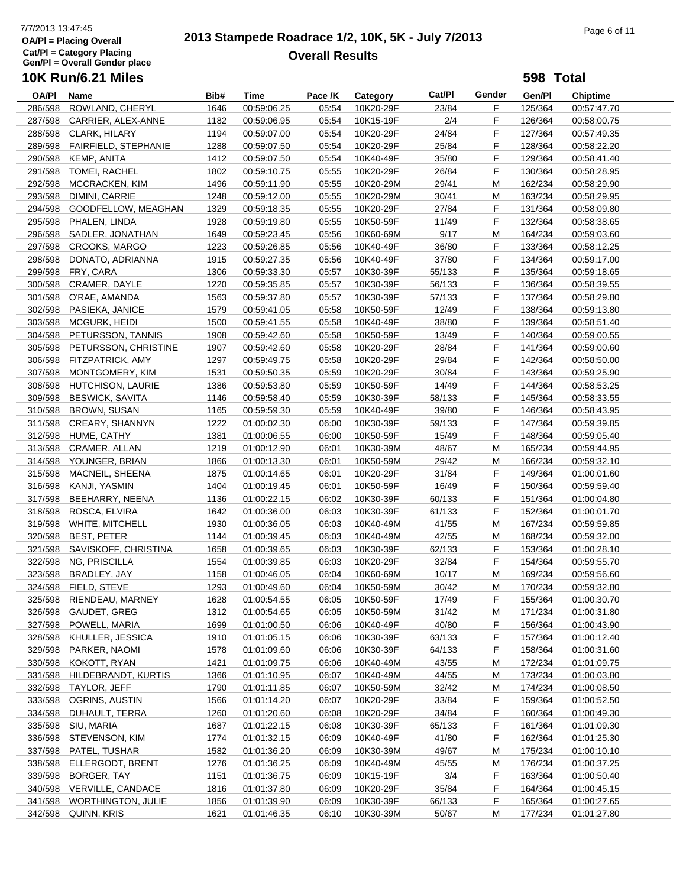# 7/7/2013 13:47:45<br> **2013 Stampede Roadrace 1/2, 10K, 5K - July 7/2013** Page 6 of 11 **Overall Results**

**598 Total**

| OA/PI   | Name                      | Bib#         | Time        | Pace /K | Category  | Cat/Pl | Gender | Gen/Pl  | <b>Chiptime</b> |
|---------|---------------------------|--------------|-------------|---------|-----------|--------|--------|---------|-----------------|
| 286/598 | ROWLAND, CHERYL           | 1646         | 00:59:06.25 | 05:54   | 10K20-29F | 23/84  | F      | 125/364 | 00:57:47.70     |
| 287/598 | CARRIER, ALEX-ANNE        | 1182         | 00:59:06.95 | 05:54   | 10K15-19F | 2/4    | F      | 126/364 | 00:58:00.75     |
| 288/598 | CLARK, HILARY             | 1194         | 00:59:07.00 | 05:54   | 10K20-29F | 24/84  | F      | 127/364 | 00:57:49.35     |
| 289/598 | FAIRFIELD, STEPHANIE      | 1288         | 00:59:07.50 | 05:54   | 10K20-29F | 25/84  | F      | 128/364 | 00:58:22.20     |
| 290/598 | <b>KEMP, ANITA</b>        | 1412         | 00:59:07.50 | 05:54   | 10K40-49F | 35/80  | F      | 129/364 | 00:58:41.40     |
| 291/598 | TOMEI, RACHEL             | 1802         | 00:59:10.75 | 05:55   | 10K20-29F | 26/84  | F      | 130/364 | 00:58:28.95     |
| 292/598 | MCCRACKEN, KIM            | 1496         | 00:59:11.90 | 05:55   | 10K20-29M | 29/41  | М      | 162/234 | 00:58:29.90     |
| 293/598 | DIMINI, CARRIE            | 1248         | 00:59:12.00 | 05:55   | 10K20-29M | 30/41  | M      | 163/234 | 00:58:29.95     |
| 294/598 | GOODFELLOW, MEAGHAN       | 1329         | 00:59:18.35 | 05:55   | 10K20-29F | 27/84  | F      | 131/364 | 00:58:09.80     |
| 295/598 | PHALEN, LINDA             | 1928         | 00:59:19.80 | 05:55   | 10K50-59F | 11/49  | F      | 132/364 | 00:58:38.65     |
| 296/598 | SADLER, JONATHAN          | 1649         | 00:59:23.45 | 05:56   | 10K60-69M | 9/17   | М      | 164/234 | 00:59:03.60     |
| 297/598 | <b>CROOKS, MARGO</b>      | 1223         | 00:59:26.85 | 05:56   | 10K40-49F | 36/80  | F      | 133/364 | 00:58:12.25     |
| 298/598 | DONATO, ADRIANNA          | 1915         | 00:59:27.35 | 05:56   | 10K40-49F | 37/80  | F      | 134/364 | 00:59:17.00     |
| 299/598 | FRY, CARA                 | 1306         | 00:59:33.30 | 05:57   | 10K30-39F | 55/133 | F      | 135/364 | 00:59:18.65     |
| 300/598 | CRAMER, DAYLE             | 1220         | 00:59:35.85 | 05:57   | 10K30-39F | 56/133 | F      | 136/364 | 00:58:39.55     |
| 301/598 | O'RAE, AMANDA             | 1563         | 00:59:37.80 | 05:57   | 10K30-39F | 57/133 | F      | 137/364 | 00:58:29.80     |
| 302/598 | PASIEKA, JANICE           | 1579         | 00:59:41.05 | 05:58   | 10K50-59F | 12/49  | F      | 138/364 | 00:59:13.80     |
| 303/598 | MCGURK, HEIDI             | 1500         | 00:59:41.55 | 05:58   | 10K40-49F | 38/80  | F      | 139/364 | 00:58:51.40     |
| 304/598 | PETURSSON, TANNIS         | 1908         | 00:59:42.60 | 05:58   | 10K50-59F | 13/49  | F      | 140/364 | 00:59:00.55     |
| 305/598 | PETURSSON, CHRISTINE      | 1907         | 00:59:42.60 | 05:58   | 10K20-29F | 28/84  | F      | 141/364 | 00:59:00.60     |
| 306/598 | FITZPATRICK, AMY          | 1297         | 00:59:49.75 | 05:58   | 10K20-29F | 29/84  | F      | 142/364 | 00:58:50.00     |
| 307/598 | MONTGOMERY, KIM           | 1531         | 00:59:50.35 | 05:59   | 10K20-29F | 30/84  | F      | 143/364 | 00:59:25.90     |
| 308/598 | HUTCHISON, LAURIE         | 1386         | 00:59:53.80 | 05:59   | 10K50-59F | 14/49  | F      | 144/364 | 00:58:53.25     |
| 309/598 | <b>BESWICK, SAVITA</b>    | 1146         | 00:59:58.40 | 05:59   | 10K30-39F | 58/133 | F      | 145/364 | 00:58:33.55     |
| 310/598 | <b>BROWN, SUSAN</b>       |              | 00:59:59.30 | 05:59   | 10K40-49F | 39/80  | F      | 146/364 | 00:58:43.95     |
| 311/598 | CREARY, SHANNYN           | 1165<br>1222 |             |         |           | 59/133 | F      |         |                 |
|         |                           |              | 01:00:02.30 | 06:00   | 10K30-39F |        | F      | 147/364 | 00:59:39.85     |
| 312/598 | HUME, CATHY               | 1381         | 01:00:06.55 | 06:00   | 10K50-59F | 15/49  | M      | 148/364 | 00:59:05.40     |
| 313/598 | CRAMER, ALLAN             | 1219         | 01:00:12.90 | 06:01   | 10K30-39M | 48/67  |        | 165/234 | 00:59:44.95     |
| 314/598 | YOUNGER, BRIAN            | 1866         | 01:00:13.30 | 06:01   | 10K50-59M | 29/42  | М      | 166/234 | 00:59:32.10     |
| 315/598 | MACNEIL, SHEENA           | 1875         | 01:00:14.65 | 06:01   | 10K20-29F | 31/84  | F      | 149/364 | 01:00:01.60     |
| 316/598 | KANJI, YASMIN             | 1404         | 01:00:19.45 | 06:01   | 10K50-59F | 16/49  | F      | 150/364 | 00:59:59.40     |
| 317/598 | BEEHARRY, NEENA           | 1136         | 01:00:22.15 | 06:02   | 10K30-39F | 60/133 | F      | 151/364 | 01:00:04.80     |
| 318/598 | ROSCA, ELVIRA             | 1642         | 01:00:36.00 | 06:03   | 10K30-39F | 61/133 | F      | 152/364 | 01:00:01.70     |
| 319/598 | WHITE, MITCHELL           | 1930         | 01:00:36.05 | 06:03   | 10K40-49M | 41/55  | М      | 167/234 | 00:59:59.85     |
| 320/598 | <b>BEST, PETER</b>        | 1144         | 01:00:39.45 | 06:03   | 10K40-49M | 42/55  | М      | 168/234 | 00:59:32.00     |
| 321/598 | SAVISKOFF, CHRISTINA      | 1658         | 01:00:39.65 | 06:03   | 10K30-39F | 62/133 | F      | 153/364 | 01:00:28.10     |
| 322/598 | NG, PRISCILLA             | 1554         | 01:00:39.85 | 06:03   | 10K20-29F | 32/84  | F      | 154/364 | 00:59:55.70     |
| 323/598 | BRADLEY, JAY              | 1158         | 01:00:46.05 | 06:04   | 10K60-69M | 10/17  | M      | 169/234 | 00:59:56.60     |
|         | 324/598 FIELD, STEVE      | 1293         | 01:00:49.60 | 06:04   | 10K50-59M | 30/42  | M      | 170/234 | 00:59:32.80     |
|         | 325/598 RIENDEAU, MARNEY  | 1628         | 01:00:54.55 | 06:05   | 10K50-59F | 17/49  | F      | 155/364 | 01:00:30.70     |
| 326/598 | GAUDET, GREG              | 1312         | 01:00:54.65 | 06:05   | 10K50-59M | 31/42  | M      | 171/234 | 01:00:31.80     |
| 327/598 | POWELL, MARIA             | 1699         | 01:01:00.50 | 06:06   | 10K40-49F | 40/80  | F      | 156/364 | 01:00:43.90     |
| 328/598 | KHULLER, JESSICA          | 1910         | 01:01:05.15 | 06:06   | 10K30-39F | 63/133 | F      | 157/364 | 01:00:12.40     |
| 329/598 | PARKER, NAOMI             | 1578         | 01:01:09.60 | 06:06   | 10K30-39F | 64/133 | F      | 158/364 | 01:00:31.60     |
| 330/598 | KOKOTT, RYAN              | 1421         | 01:01:09.75 | 06:06   | 10K40-49M | 43/55  | M      | 172/234 | 01:01:09.75     |
| 331/598 | HILDEBRANDT, KURTIS       | 1366         | 01:01:10.95 | 06:07   | 10K40-49M | 44/55  | M      | 173/234 | 01:00:03.80     |
| 332/598 | TAYLOR, JEFF              | 1790         | 01:01:11.85 | 06:07   | 10K50-59M | 32/42  | M      | 174/234 | 01:00:08.50     |
| 333/598 | OGRINS, AUSTIN            | 1566         | 01:01:14.20 | 06:07   | 10K20-29F | 33/84  | F      | 159/364 | 01:00:52.50     |
| 334/598 | DUHAULT, TERRA            | 1260         | 01:01:20.60 | 06:08   | 10K20-29F | 34/84  | F      | 160/364 | 01:00:49.30     |
| 335/598 | SIU, MARIA                | 1687         | 01:01:22.15 | 06:08   | 10K30-39F | 65/133 | F      | 161/364 | 01:01:09.30     |
| 336/598 | STEVENSON, KIM            | 1774         | 01:01:32.15 | 06:09   | 10K40-49F | 41/80  | F      | 162/364 | 01:01:25.30     |
| 337/598 | PATEL, TUSHAR             | 1582         | 01:01:36.20 | 06:09   | 10K30-39M | 49/67  | M      | 175/234 | 01:00:10.10     |
| 338/598 | ELLERGODT, BRENT          | 1276         | 01:01:36.25 | 06:09   | 10K40-49M | 45/55  | M      | 176/234 | 01:00:37.25     |
| 339/598 | BORGER, TAY               | 1151         | 01:01:36.75 | 06:09   | 10K15-19F | 3/4    | F      | 163/364 | 01:00:50.40     |
| 340/598 | VERVILLE, CANDACE         | 1816         | 01:01:37.80 | 06:09   | 10K20-29F | 35/84  | F      | 164/364 | 01:00:45.15     |
| 341/598 | <b>WORTHINGTON, JULIE</b> | 1856         | 01:01:39.90 | 06:09   | 10K30-39F | 66/133 | F      | 165/364 | 01:00:27.65     |
| 342/598 | QUINN, KRIS               | 1621         | 01:01:46.35 | 06:10   | 10K30-39M | 50/67  | M      | 177/234 | 01:01:27.80     |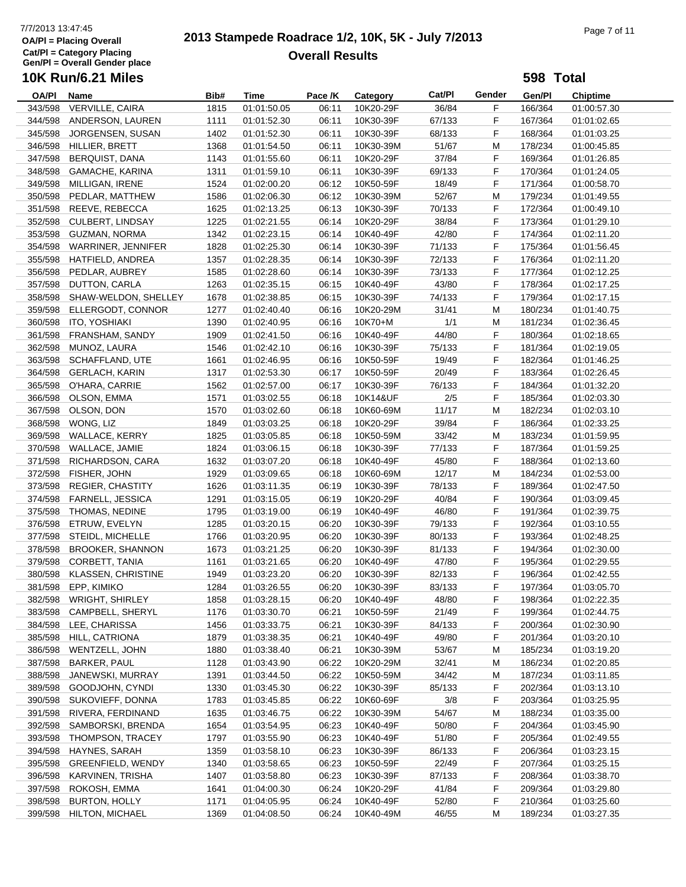# 7/7/2013 13:47:45<br> **2013 Stampede Roadrace 1/2, 10K, 5K - July 7/2013** Page 7 of 11 **Overall Results**

|         | <b>10K Run/6.21 Miles</b>  |      |             |         |                 |        |        | 598 Total |                            |
|---------|----------------------------|------|-------------|---------|-----------------|--------|--------|-----------|----------------------------|
| OA/PI   | Name                       | Bib# | Time        | Pace /K | Category        | Cat/PI | Gender | Gen/PI    | <b>Chiptime</b>            |
| 343/598 | VERVILLE, CAIRA            | 1815 | 01:01:50.05 | 06:11   | 10K20-29F       | 36/84  | F      | 166/364   | 01:00:57.30                |
| 344/598 | ANDERSON, LAUREN           | 1111 | 01:01:52.30 | 06:11   | 10K30-39F       | 67/133 | F      | 167/364   | 01:01:02.65                |
| 345/598 | JORGENSEN, SUSAN           | 1402 | 01:01:52.30 | 06:11   | 10K30-39F       | 68/133 | F      | 168/364   | 01:01:03.25                |
| 346/598 | HILLIER, BRETT             | 1368 | 01:01:54.50 | 06:11   | 10K30-39M       | 51/67  | М      | 178/234   | 01:00:45.85                |
| 347/598 | <b>BERQUIST, DANA</b>      | 1143 | 01:01:55.60 | 06:11   | 10K20-29F       | 37/84  | F      | 169/364   | 01:01:26.85                |
| 348/598 | GAMACHE, KARINA            | 1311 | 01:01:59.10 | 06:11   | 10K30-39F       | 69/133 | F      | 170/364   | 01:01:24.05                |
| 349/598 | MILLIGAN, IRENE            | 1524 | 01:02:00.20 | 06:12   | 10K50-59F       | 18/49  | F      | 171/364   | 01:00:58.70                |
| 350/598 | PEDLAR, MATTHEW            | 1586 | 01:02:06.30 | 06:12   | 10K30-39M       | 52/67  | М      | 179/234   | 01:01:49.55                |
| 351/598 | REEVE, REBECCA             | 1625 | 01:02:13.25 | 06:13   | 10K30-39F       | 70/133 | F      | 172/364   | 01:00:49.10                |
| 352/598 | CULBERT, LINDSAY           | 1225 | 01:02:21.55 | 06:14   | 10K20-29F       | 38/84  | F      | 173/364   | 01:01:29.10                |
| 353/598 | <b>GUZMAN, NORMA</b>       | 1342 | 01:02:23.15 | 06:14   | 10K40-49F       | 42/80  | F      | 174/364   | 01:02:11.20                |
| 354/598 | WARRINER, JENNIFER         | 1828 | 01:02:25.30 | 06:14   | 10K30-39F       | 71/133 | F      | 175/364   | 01:01:56.45                |
| 355/598 | HATFIELD, ANDREA           | 1357 | 01:02:28.35 | 06:14   | 10K30-39F       | 72/133 | F      | 176/364   | 01:02:11.20                |
| 356/598 | PEDLAR, AUBREY             | 1585 | 01:02:28.60 | 06:14   | 10K30-39F       | 73/133 | F      | 177/364   | 01:02:12.25                |
| 357/598 | DUTTON, CARLA              | 1263 | 01:02:35.15 | 06:15   | 10K40-49F       | 43/80  | F      | 178/364   | 01:02:17.25                |
| 358/598 | SHAW-WELDON, SHELLEY       | 1678 | 01:02:38.85 | 06:15   | 10K30-39F       | 74/133 | F      | 179/364   | 01:02:17.15                |
| 359/598 | ELLERGODT, CONNOR          | 1277 | 01:02:40.40 | 06:16   | 10K20-29M       | 31/41  | М      | 180/234   | 01:01:40.75                |
| 360/598 | ITO, YOSHIAKI              | 1390 | 01:02:40.95 | 06:16   | 10K70+M         | 1/1    | М      | 181/234   | 01:02:36.45                |
| 361/598 | FRANSHAM, SANDY            | 1909 | 01:02:41.50 | 06:16   | 10K40-49F       | 44/80  | F      | 180/364   | 01:02:18.65                |
| 362/598 | MUNOZ, LAURA               | 1546 | 01:02:42.10 | 06:16   | 10K30-39F       | 75/133 | F      | 181/364   | 01:02:19.05                |
| 363/598 | SCHAFFLAND, UTE            | 1661 | 01:02:46.95 | 06:16   | 10K50-59F       | 19/49  | F      | 182/364   | 01:01:46.25                |
| 364/598 | <b>GERLACH, KARIN</b>      | 1317 | 01:02:53.30 | 06:17   | 10K50-59F       | 20/49  | F      | 183/364   | 01:02:26.45                |
| 365/598 | O'HARA, CARRIE             | 1562 | 01:02:57.00 | 06:17   | 10K30-39F       | 76/133 | F      | 184/364   | 01:01:32.20                |
| 366/598 | OLSON, EMMA                | 1571 | 01:03:02.55 | 06:18   | 10K14&UF        | 2/5    | F      | 185/364   | 01:02:03.30                |
| 367/598 | OLSON, DON                 | 1570 | 01:03:02.60 | 06:18   | 10K60-69M       | 11/17  | M      | 182/234   | 01:02:03.10                |
| 368/598 | WONG, LIZ                  | 1849 | 01:03:03.25 | 06:18   | 10K20-29F       | 39/84  | F      | 186/364   |                            |
| 369/598 | WALLACE, KERRY             | 1825 | 01:03:05.85 | 06:18   | 10K50-59M       | 33/42  | M      | 183/234   | 01:02:33.25<br>01:01:59.95 |
| 370/598 | WALLACE, JAMIE             |      |             | 06:18   | 10K30-39F       | 77/133 | F      | 187/364   |                            |
|         |                            | 1824 | 01:03:06.15 |         |                 |        |        |           | 01:01:59.25                |
| 371/598 | RICHARDSON, CARA           | 1632 | 01:03:07.20 | 06:18   | 10K40-49F       | 45/80  | F      | 188/364   | 01:02:13.60                |
| 372/598 | FISHER, JOHN               | 1929 | 01:03:09.65 | 06:18   | 10K60-69M       | 12/17  | М      | 184/234   | 01:02:53.00                |
| 373/598 | <b>REGIER, CHASTITY</b>    | 1626 | 01:03:11.35 | 06:19   | 10K30-39F       | 78/133 | F      | 189/364   | 01:02:47.50                |
| 374/598 | FARNELL, JESSICA           | 1291 | 01:03:15.05 | 06:19   | 10K20-29F       | 40/84  | F      | 190/364   | 01:03:09.45                |
| 375/598 | THOMAS, NEDINE             | 1795 | 01:03:19.00 | 06:19   | 10K40-49F       | 46/80  | F      | 191/364   | 01:02:39.75                |
| 376/598 | ETRUW, EVELYN              | 1285 | 01:03:20.15 | 06:20   | 10K30-39F       | 79/133 | F      | 192/364   | 01:03:10.55                |
| 377/598 | STEIDL, MICHELLE           | 1766 | 01:03:20.95 | 06:20   | 10K30-39F       | 80/133 | F      | 193/364   | 01:02:48.25                |
| 378/598 | <b>BROOKER, SHANNON</b>    | 1673 | 01:03:21.25 | 06:20   | 10K30-39F       | 81/133 | F      | 194/364   | 01:02:30.00                |
|         | 379/598 CORBETT, TANIA     | 1161 | 01:03:21.65 | 06:20   | 10K40-49F       | 47/80  | F      | 195/364   | 01:02:29.55                |
|         | 380/598 KLASSEN, CHRISTINE | 1949 | 01:03:23.20 |         | 06:20 10K30-39F | 82/133 | F.     | 196/364   | 01:02:42.55                |
| 381/598 | EPP, KIMIKO                | 1284 | 01:03:26.55 | 06:20   | 10K30-39F       | 83/133 | F      | 197/364   | 01:03:05.70                |
| 382/598 | <b>WRIGHT, SHIRLEY</b>     | 1858 | 01:03:28.15 | 06:20   | 10K40-49F       | 48/80  | F      | 198/364   | 01:02:22.35                |
| 383/598 | CAMPBELL, SHERYL           | 1176 | 01:03:30.70 | 06:21   | 10K50-59F       | 21/49  | F      | 199/364   | 01:02:44.75                |
| 384/598 | LEE, CHARISSA              | 1456 | 01:03:33.75 | 06:21   | 10K30-39F       | 84/133 | F      | 200/364   | 01:02:30.90                |
| 385/598 | HILL, CATRIONA             | 1879 | 01:03:38.35 | 06:21   | 10K40-49F       | 49/80  | F.     | 201/364   | 01:03:20.10                |
| 386/598 | WENTZELL, JOHN             | 1880 | 01:03:38.40 | 06:21   | 10K30-39M       | 53/67  | М      | 185/234   | 01:03:19.20                |
| 387/598 | <b>BARKER, PAUL</b>        | 1128 | 01:03:43.90 | 06:22   | 10K20-29M       | 32/41  | М      | 186/234   | 01:02:20.85                |
| 388/598 | JANEWSKI, MURRAY           | 1391 | 01:03:44.50 | 06:22   | 10K50-59M       | 34/42  | М      | 187/234   | 01:03:11.85                |
| 389/598 | GOODJOHN, CYNDI            | 1330 | 01:03:45.30 | 06:22   | 10K30-39F       | 85/133 | F      | 202/364   | 01:03:13.10                |
| 390/598 | SUKOVIEFF, DONNA           | 1783 | 01:03:45.85 | 06:22   | 10K60-69F       | 3/8    | F      | 203/364   | 01:03:25.95                |
| 391/598 | RIVERA, FERDINAND          | 1635 | 01:03:46.75 | 06:22   | 10K30-39M       | 54/67  | М      | 188/234   | 01:03:35.00                |
| 392/598 | SAMBORSKI, BRENDA          | 1654 | 01:03:54.95 | 06:23   | 10K40-49F       | 50/80  | F      | 204/364   | 01:03:45.90                |
| 393/598 | THOMPSON, TRACEY           | 1797 | 01:03:55.90 | 06:23   | 10K40-49F       | 51/80  | F.     | 205/364   | 01:02:49.55                |
| 394/598 | HAYNES, SARAH              | 1359 | 01:03:58.10 | 06:23   | 10K30-39F       | 86/133 | F      | 206/364   | 01:03:23.15                |
| 395/598 | GREENFIELD, WENDY          | 1340 | 01:03:58.65 | 06:23   | 10K50-59F       | 22/49  | F      | 207/364   | 01:03:25.15                |
| 396/598 | KARVINEN, TRISHA           | 1407 | 01:03:58.80 | 06:23   | 10K30-39F       | 87/133 | F      | 208/364   | 01:03:38.70                |
| 397/598 | ROKOSH, EMMA               | 1641 | 01:04:00.30 | 06:24   | 10K20-29F       | 41/84  | F      | 209/364   | 01:03:29.80                |
| 398/598 | <b>BURTON, HOLLY</b>       | 1171 | 01:04:05.95 | 06:24   | 10K40-49F       | 52/80  | F      | 210/364   | 01:03:25.60                |
| 399/598 | <b>HILTON, MICHAEL</b>     | 1369 | 01:04:08.50 | 06:24   | 10K40-49M       | 46/55  | M      | 189/234   | 01:03:27.35                |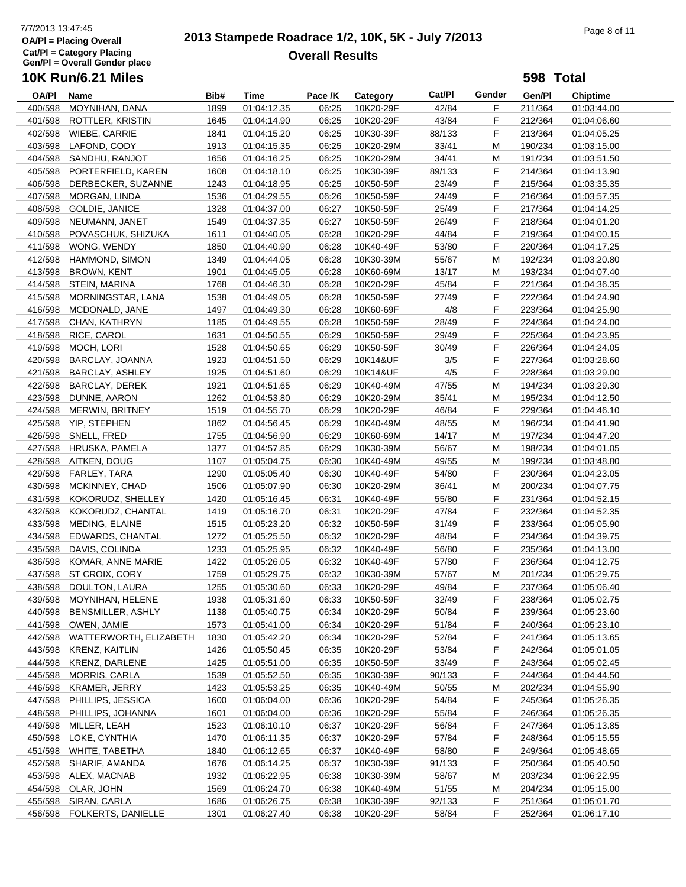#### **OA/Pl = Placing Overall Cat/Pl = Category Placing Gen/Pl = Overall Gender place 10K Run/6.21 Miles**

# 7/7/2013 13:47:45<br> **2013 Stampede Roadrace 1/2, 10K, 5K - July 7/2013** Page 8 of 11 **Overall Results**

# **OA/Pl Name Bib# Time Category Cat/Pl Gen/Pl Chiptime** Pace /K Category Cat/Pl Gender **598 Total** 400/598 MOYNIHAN, DANA 1899 01:04:12.35 06:25 10K20-29F 42/84 F 211/364 01:03:44.00 401/598 ROTTLER, KRISTIN 1645 01:04:14.90 06:25 10K20-29F 43/84 F 212/364 01:04:06.60 402/598 WIEBE, CARRIE 1841 01:04:15.20 06:25 10K30-39F 88/133 F 213/364 01:04:05.25 403/598 LAFOND, CODY 1913 01:04:15.35 06:25 10K20-29M 33/41 M 190/234 01:03:15.00 404/598 SANDHU, RANJOT 1656 01:04:16.25 06:25 10K20-29M 34/41 M 191/234 01:03:51.50 405/598 PORTERFIELD, KAREN 1608 01:04:18.10 06:25 10K30-39F 89/133 F 214/364 01:04:13.90 406/598 DERBECKER, SUZANNE 1243 01:04:18.95 06:25 10K50-59F 23/49 F 215/364 01:03:35.35 407/598 MORGAN, LINDA 1536 01:04:29.55 06:26 10K50-59F 24/49 F 216/364 01:03:57.35

|         | $\frac{1}{2}$             | <b>1000</b> | <u></u>     | $\sim$ | 101100000 | $-11 - 10$ |    | $-1000T$ | 00.00.00    |  |
|---------|---------------------------|-------------|-------------|--------|-----------|------------|----|----------|-------------|--|
|         | 408/598 GOLDIE, JANICE    | 1328        | 01:04:37.00 | 06:27  | 10K50-59F | 25/49      | F. | 217/364  | 01:04:14.25 |  |
| 409/598 | NEUMANN, JANET            | 1549        | 01:04:37.35 | 06:27  | 10K50-59F | 26/49      | F  | 218/364  | 01:04:01.20 |  |
| 410/598 | POVASCHUK, SHIZUKA        | 1611        | 01:04:40.05 | 06:28  | 10K20-29F | 44/84      | F  | 219/364  | 01:04:00.15 |  |
| 411/598 | WONG, WENDY               | 1850        | 01:04:40.90 | 06:28  | 10K40-49F | 53/80      | F  | 220/364  | 01:04:17.25 |  |
| 412/598 | <b>HAMMOND, SIMON</b>     | 1349        | 01:04:44.05 | 06:28  | 10K30-39M | 55/67      | М  | 192/234  | 01:03:20.80 |  |
| 413/598 | <b>BROWN, KENT</b>        | 1901        | 01:04:45.05 | 06:28  | 10K60-69M | 13/17      | М  | 193/234  | 01:04:07.40 |  |
|         | 414/598 STEIN, MARINA     | 1768        | 01:04:46.30 | 06:28  | 10K20-29F | 45/84      | F  | 221/364  | 01:04:36.35 |  |
| 415/598 | MORNINGSTAR, LANA         | 1538        | 01:04:49.05 | 06:28  | 10K50-59F | 27/49      | F  | 222/364  | 01:04:24.90 |  |
| 416/598 | MCDONALD, JANE            | 1497        | 01:04:49.30 | 06:28  | 10K60-69F | 4/8        | F  | 223/364  | 01:04:25.90 |  |
| 417/598 | CHAN, KATHRYN             | 1185        | 01:04:49.55 | 06:28  | 10K50-59F | 28/49      | F  | 224/364  | 01:04:24.00 |  |
| 418/598 | RICE, CAROL               | 1631        | 01:04:50.55 | 06:29  | 10K50-59F | 29/49      | F  | 225/364  | 01:04:23.95 |  |
| 419/598 | MOCH, LORI                | 1528        | 01:04:50.65 | 06:29  | 10K50-59F | 30/49      | F  | 226/364  | 01:04:24.05 |  |
| 420/598 | BARCLAY, JOANNA           | 1923        | 01:04:51.50 | 06:29  | 10K14&UF  | 3/5        | F  | 227/364  | 01:03:28.60 |  |
| 421/598 | BARCLAY, ASHLEY           | 1925        | 01:04:51.60 | 06:29  | 10K14&UF  | 4/5        | F  | 228/364  | 01:03:29.00 |  |
|         | 422/598 BARCLAY, DEREK    | 1921        | 01:04:51.65 | 06:29  | 10K40-49M | 47/55      | М  | 194/234  | 01:03:29.30 |  |
| 423/598 | DUNNE, AARON              | 1262        | 01:04:53.80 | 06:29  | 10K20-29M | 35/41      | M  | 195/234  | 01:04:12.50 |  |
| 424/598 | MERWIN, BRITNEY           | 1519        | 01:04:55.70 | 06:29  | 10K20-29F | 46/84      | F. | 229/364  | 01:04:46.10 |  |
|         | 425/598 YIP, STEPHEN      | 1862        | 01:04:56.45 | 06:29  | 10K40-49M | 48/55      | м  | 196/234  | 01:04:41.90 |  |
|         | 426/598 SNELL, FRED       | 1755        | 01:04:56.90 | 06:29  | 10K60-69M | 14/17      | м  | 197/234  | 01:04:47.20 |  |
|         | 427/598 HRUSKA, PAMELA    | 1377        | 01:04:57.85 | 06:29  | 10K30-39M | 56/67      | M  | 198/234  | 01:04:01.05 |  |
|         | 428/598 AITKEN, DOUG      | 1107        | 01:05:04.75 | 06:30  | 10K40-49M | 49/55      | M  | 199/234  | 01:03:48.80 |  |
| 429/598 | FARLEY, TARA              | 1290        | 01:05:05.40 | 06:30  | 10K40-49F | 54/80      | F  | 230/364  | 01:04:23.05 |  |
| 430/598 | MCKINNEY, CHAD            | 1506        | 01:05:07.90 | 06:30  | 10K20-29M | 36/41      | М  | 200/234  | 01:04:07.75 |  |
| 431/598 | KOKORUDZ, SHELLEY         | 1420        | 01:05:16.45 | 06:31  | 10K40-49F | 55/80      | F  | 231/364  | 01:04:52.15 |  |
| 432/598 | KOKORUDZ, CHANTAL         | 1419        | 01:05:16.70 | 06:31  | 10K20-29F | 47/84      | F  | 232/364  | 01:04:52.35 |  |
| 433/598 | MEDING, ELAINE            | 1515        | 01:05:23.20 | 06:32  | 10K50-59F | 31/49      | F  | 233/364  | 01:05:05.90 |  |
| 434/598 | EDWARDS, CHANTAL          | 1272        | 01:05:25.50 | 06:32  | 10K20-29F | 48/84      | F  | 234/364  | 01:04:39.75 |  |
| 435/598 | DAVIS, COLINDA            | 1233        | 01:05:25.95 | 06:32  | 10K40-49F | 56/80      | F  | 235/364  | 01:04:13.00 |  |
| 436/598 | KOMAR, ANNE MARIE         | 1422        | 01:05:26.05 | 06:32  | 10K40-49F | 57/80      | F  | 236/364  | 01:04:12.75 |  |
| 437/598 | ST CROIX, CORY            | 1759        | 01:05:29.75 | 06:32  | 10K30-39M | 57/67      | M  | 201/234  | 01:05:29.75 |  |
| 438/598 | DOULTON, LAURA            | 1255        | 01:05:30.60 | 06:33  | 10K20-29F | 49/84      | F  | 237/364  | 01:05:06.40 |  |
| 439/598 | MOYNIHAN, HELENE          | 1938        | 01:05:31.60 | 06:33  | 10K50-59F | 32/49      | F  | 238/364  | 01:05:02.75 |  |
| 440/598 | BENSMILLER, ASHLY         | 1138        | 01:05:40.75 | 06:34  | 10K20-29F | 50/84      | F. | 239/364  | 01:05:23.60 |  |
| 441/598 | OWEN, JAMIE               | 1573        | 01:05:41.00 | 06:34  | 10K20-29F | 51/84      | F  | 240/364  | 01:05:23.10 |  |
| 442/598 | WATTERWORTH, ELIZABETH    | 1830        | 01:05:42.20 | 06:34  | 10K20-29F | 52/84      | F  | 241/364  | 01:05:13.65 |  |
| 443/598 | KRENZ, KAITLIN            | 1426        | 01:05:50.45 | 06:35  | 10K20-29F | 53/84      | F  | 242/364  | 01:05:01.05 |  |
| 444/598 | KRENZ, DARLENE            | 1425        | 01:05:51.00 | 06:35  | 10K50-59F | 33/49      | F  | 243/364  | 01:05:02.45 |  |
| 445/598 | MORRIS, CARLA             | 1539        | 01:05:52.50 | 06:35  | 10K30-39F | 90/133     | F  | 244/364  | 01:04:44.50 |  |
| 446/598 | KRAMER, JERRY             | 1423        | 01:05:53.25 | 06:35  | 10K40-49M | 50/55      | M  | 202/234  | 01:04:55.90 |  |
|         | 447/598 PHILLIPS, JESSICA | 1600        | 01:06:04.00 | 06:36  | 10K20-29F | 54/84      | F  | 245/364  | 01:05:26.35 |  |
|         | 448/598 PHILLIPS, JOHANNA | 1601        | 01:06:04.00 | 06:36  | 10K20-29F | 55/84      | F. | 246/364  | 01:05:26.35 |  |
| 449/598 | MILLER, LEAH              | 1523        | 01:06:10.10 | 06:37  | 10K20-29F | 56/84      | F  | 247/364  | 01:05:13.85 |  |
| 450/598 | LOKE, CYNTHIA             | 1470        | 01:06:11.35 | 06:37  | 10K20-29F | 57/84      | F  | 248/364  | 01:05:15.55 |  |
|         | 451/598 WHITE, TABETHA    | 1840        | 01:06:12.65 | 06:37  | 10K40-49F | 58/80      | F  | 249/364  | 01:05:48.65 |  |
| 452/598 | SHARIF, AMANDA            | 1676        | 01:06:14.25 | 06:37  | 10K30-39F | 91/133     | F  | 250/364  | 01:05:40.50 |  |
|         | 453/598 ALEX, MACNAB      | 1932        | 01:06:22.95 | 06:38  | 10K30-39M | 58/67      | M  | 203/234  | 01:06:22.95 |  |
| 454/598 | OLAR, JOHN                | 1569        | 01:06:24.70 | 06:38  | 10K40-49M | 51/55      | М  | 204/234  | 01:05:15.00 |  |
| 455/598 | SIRAN, CARLA              | 1686        | 01:06:26.75 | 06:38  | 10K30-39F | 92/133     | F  | 251/364  | 01:05:01.70 |  |
| 456/598 | FOLKERTS, DANIELLE        | 1301        | 01:06:27.40 | 06:38  | 10K20-29F | 58/84      | F. | 252/364  | 01:06:17.10 |  |
|         |                           |             |             |        |           |            |    |          |             |  |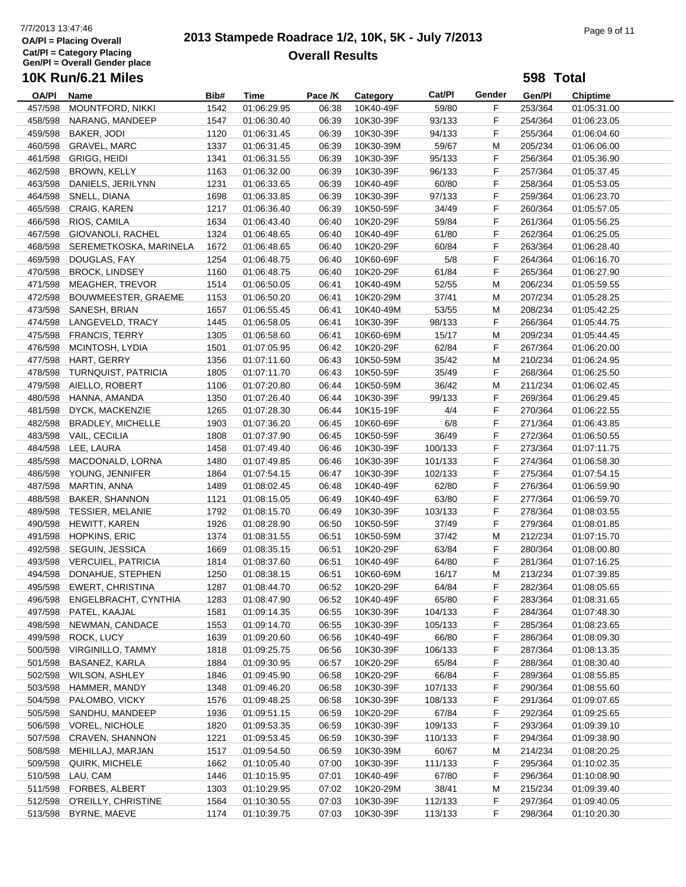# 7/7/2013 13:47:46<br> **2013 Stampede Roadrace 1/2, 10K, 5K - July 7/2013** Page 9 of 11 **Overall Results**

**598 Total**

| <b>OA/PI</b> | Name                         | Bib# | Time                       | Pace /K | Category  | Cat/Pl          | Gender | Gen/Pl             | <b>Chiptime</b> |  |
|--------------|------------------------------|------|----------------------------|---------|-----------|-----------------|--------|--------------------|-----------------|--|
| 457/598      | <b>MOUNTFORD, NIKKI</b>      | 1542 | 01:06:29.95                | 06:38   | 10K40-49F | 59/80           | F      | 253/364            | 01:05:31.00     |  |
| 458/598      | NARANG, MANDEEP              | 1547 | 01:06:30.40                | 06:39   | 10K30-39F | 93/133          | F      | 254/364            | 01:06:23.05     |  |
| 459/598      | BAKER, JODI                  | 1120 | 01:06:31.45                | 06:39   | 10K30-39F | 94/133          | F      | 255/364            | 01:06:04.60     |  |
| 460/598      | <b>GRAVEL, MARC</b>          | 1337 | 01:06:31.45                | 06:39   | 10K30-39M | 59/67           | M      | 205/234            | 01:06:06.00     |  |
| 461/598      | <b>GRIGG, HEIDI</b>          | 1341 | 01:06:31.55                | 06:39   | 10K30-39F | 95/133          | F      | 256/364            | 01:05:36.90     |  |
| 462/598      | BROWN, KELLY                 | 1163 | 01:06:32.00                | 06:39   | 10K30-39F | 96/133          | F      | 257/364            | 01:05:37.45     |  |
| 463/598      | DANIELS, JERILYNN            | 1231 | 01:06:33.65                | 06:39   | 10K40-49F | 60/80           | F      | 258/364            | 01:05:53.05     |  |
| 464/598      | SNELL, DIANA                 | 1698 | 01:06:33.85                | 06:39   | 10K30-39F | 97/133          | F      | 259/364            | 01:06:23.70     |  |
| 465/598      | CRAIG, KAREN                 | 1217 | 01:06:36.40                | 06:39   | 10K50-59F | 34/49           | F      | 260/364            | 01:05:57.05     |  |
| 466/598      | RIOS, CAMILA                 | 1634 | 01:06:43.40                | 06:40   | 10K20-29F | 59/84           | F      | 261/364            | 01:05:56.25     |  |
| 467/598      | GIOVANOLI, RACHEL            | 1324 | 01:06:48.65                | 06:40   | 10K40-49F | 61/80           | F      | 262/364            | 01:06:25.05     |  |
| 468/598      | SEREMETKOSKA, MARINELA       | 1672 | 01:06:48.65                | 06:40   | 10K20-29F | 60/84           | F      | 263/364            | 01:06:28.40     |  |
| 469/598      | DOUGLAS, FAY                 | 1254 | 01:06:48.75                | 06:40   | 10K60-69F | 5/8             | F      | 264/364            | 01:06:16.70     |  |
| 470/598      | <b>BROCK, LINDSEY</b>        | 1160 | 01:06:48.75                | 06:40   | 10K20-29F | 61/84           | F      | 265/364            | 01:06:27.90     |  |
| 471/598      | MEAGHER, TREVOR              | 1514 | 01:06:50.05                | 06:41   | 10K40-49M | 52/55           | M      | 206/234            | 01:05:59.55     |  |
| 472/598      | BOUWMEESTER, GRAEME          | 1153 | 01:06:50.20                | 06:41   | 10K20-29M | 37/41           | M      | 207/234            | 01:05:28.25     |  |
| 473/598      | SANESH, BRIAN                | 1657 | 01:06:55.45                | 06:41   | 10K40-49M | 53/55           | M      | 208/234            | 01:05:42.25     |  |
| 474/598      | LANGEVELD, TRACY             | 1445 | 01:06:58.05                | 06:41   | 10K30-39F | 98/133          | F      | 266/364            | 01:05:44.75     |  |
| 475/598      | <b>FRANCIS, TERRY</b>        | 1305 | 01:06:58.60                | 06:41   | 10K60-69M | 15/17           | M      | 209/234            | 01:05:44.45     |  |
| 476/598      | MCINTOSH, LYDIA              | 1501 | 01:07:05.95                | 06:42   | 10K20-29F | 62/84           | F      | 267/364            | 01:06:20.00     |  |
| 477/598      | HART, GERRY                  | 1356 | 01:07:11.60                | 06:43   | 10K50-59M | 35/42           | M      | 210/234            | 01:06:24.95     |  |
| 478/598      |                              | 1805 |                            | 06:43   |           | 35/49           | F      |                    |                 |  |
|              | TURNQUIST, PATRICIA          |      | 01:07:11.70<br>01:07:20.80 |         | 10K50-59F |                 |        | 268/364            | 01:06:25.50     |  |
| 479/598      | AIELLO, ROBERT               | 1106 |                            | 06:44   | 10K50-59M | 36/42<br>99/133 | M      | 211/234<br>269/364 | 01:06:02.45     |  |
| 480/598      | HANNA, AMANDA                | 1350 | 01:07:26.40                | 06:44   | 10K30-39F |                 | F      |                    | 01:06:29.45     |  |
| 481/598      | DYCK, MACKENZIE              | 1265 | 01:07:28.30                | 06:44   | 10K15-19F | 4/4             | F      | 270/364            | 01:06:22.55     |  |
| 482/598      | BRADLEY, MICHELLE            | 1903 | 01:07:36.20                | 06:45   | 10K60-69F | 6/8             | F      | 271/364            | 01:06:43.85     |  |
| 483/598      | VAIL, CECILIA                | 1808 | 01:07:37.90                | 06:45   | 10K50-59F | 36/49           | F      | 272/364            | 01:06:50.55     |  |
| 484/598      | LEE, LAURA                   | 1458 | 01:07:49.40                | 06:46   | 10K30-39F | 100/133         | F      | 273/364            | 01:07:11.75     |  |
| 485/598      | MACDONALD, LORNA             | 1480 | 01:07:49.85                | 06:46   | 10K30-39F | 101/133         | F      | 274/364            | 01:06:58.30     |  |
| 486/598      | YOUNG, JENNIFER              | 1864 | 01:07:54.15                | 06:47   | 10K30-39F | 102/133         | F      | 275/364            | 01:07:54.15     |  |
| 487/598      | MARTIN, ANNA                 | 1489 | 01:08:02.45                | 06:48   | 10K40-49F | 62/80           | F      | 276/364            | 01:06:59.90     |  |
| 488/598      | <b>BAKER, SHANNON</b>        | 1121 | 01:08:15.05                | 06:49   | 10K40-49F | 63/80           | F      | 277/364            | 01:06:59.70     |  |
| 489/598      | <b>TESSIER, MELANIE</b>      | 1792 | 01:08:15.70                | 06:49   | 10K30-39F | 103/133         | F      | 278/364            | 01:08:03.55     |  |
| 490/598      | HEWITT, KAREN                | 1926 | 01:08:28.90                | 06:50   | 10K50-59F | 37/49           | F      | 279/364            | 01:08:01.85     |  |
| 491/598      | <b>HOPKINS, ERIC</b>         | 1374 | 01:08:31.55                | 06:51   | 10K50-59M | 37/42           | M      | 212/234            | 01:07:15.70     |  |
| 492/598      | SEGUIN, JESSICA              | 1669 | 01:08:35.15                | 06:51   | 10K20-29F | 63/84           | F      | 280/364            | 01:08:00.80     |  |
| 493/598      | <b>VERCUIEL, PATRICIA</b>    | 1814 | 01:08:37.60                | 06:51   | 10K40-49F | 64/80           | F      | 281/364            | 01:07:16.25     |  |
| 494/598      | DONAHUE, STEPHEN             | 1250 | 01:08:38.15                | 06:51   | 10K60-69M | 16/17           | M      | 213/234            | 01:07:39.85     |  |
| 495/598      | <b>EWERT, CHRISTINA</b>      | 1287 | 01:08:44.70                | 06:52   | 10K20-29F | 64/84           | F.     | 282/364            | 01:08:05.65     |  |
|              | 496/598 ENGELBRACHT, CYNTHIA | 1283 | 01:08:47.90                | 06:52   | 10K40-49F | 65/80           | F      | 283/364            | 01:08:31.65     |  |
| 497/598      | PATEL, KAAJAL                | 1581 | 01:09:14.35                | 06:55   | 10K30-39F | 104/133         | F      | 284/364            | 01:07:48.30     |  |
| 498/598      | NEWMAN, CANDACE              | 1553 | 01:09:14.70                | 06:55   | 10K30-39F | 105/133         | F      | 285/364            | 01:08:23.65     |  |
| 499/598      | ROCK, LUCY                   | 1639 | 01:09:20.60                | 06:56   | 10K40-49F | 66/80           | F      | 286/364            | 01:08:09.30     |  |
| 500/598      | <b>VIRGINILLO, TAMMY</b>     | 1818 | 01:09:25.75                | 06:56   | 10K30-39F | 106/133         | F      | 287/364            | 01:08:13.35     |  |
| 501/598      | BASANEZ, KARLA               | 1884 | 01:09:30.95                | 06:57   | 10K20-29F | 65/84           | F.     | 288/364            | 01:08:30.40     |  |
| 502/598      | <b>WILSON, ASHLEY</b>        | 1846 | 01:09:45.90                | 06:58   | 10K20-29F | 66/84           | F.     | 289/364            | 01:08:55.85     |  |
| 503/598      | HAMMER, MANDY                | 1348 | 01:09:46.20                | 06:58   | 10K30-39F | 107/133         | F      | 290/364            | 01:08:55.60     |  |
| 504/598      | PALOMBO, VICKY               | 1576 | 01:09:48.25                | 06:58   | 10K30-39F | 108/133         | F.     | 291/364            | 01:09:07.65     |  |
| 505/598      | SANDHU, MANDEEP              | 1936 | 01:09:51.15                | 06:59   | 10K20-29F | 67/84           | F      | 292/364            | 01:09:25.65     |  |
| 506/598      | <b>VOREL, NICHOLE</b>        | 1820 | 01:09:53.35                | 06:59   | 10K30-39F | 109/133         | F.     | 293/364            | 01:09:39.10     |  |
| 507/598      | CRAVEN, SHANNON              | 1221 | 01:09:53.45                | 06:59   | 10K30-39F | 110/133         | F      | 294/364            | 01:09:38.90     |  |
| 508/598      | MEHILLAJ, MARJAN             | 1517 | 01:09:54.50                | 06:59   | 10K30-39M | 60/67           | M      | 214/234            | 01:08:20.25     |  |
| 509/598      | QUIRK, MICHELE               | 1662 | 01:10:05.40                | 07:00   | 10K30-39F | 111/133         | F.     | 295/364            | 01:10:02.35     |  |
| 510/598      | LAU, CAM                     | 1446 | 01:10:15.95                | 07:01   | 10K40-49F | 67/80           | F,     | 296/364            | 01:10:08.90     |  |
| 511/598      | FORBES, ALBERT               | 1303 | 01:10:29.95                | 07:02   | 10K20-29M | 38/41           | M      | 215/234            | 01:09:39.40     |  |
| 512/598      | O'REILLY, CHRISTINE          | 1564 | 01:10:30.55                | 07:03   | 10K30-39F | 112/133         | F      | 297/364            | 01:09:40.05     |  |
| 513/598      | BYRNE, MAEVE                 | 1174 | 01:10:39.75                | 07:03   | 10K30-39F | 113/133         | F.     | 298/364            | 01:10:20.30     |  |
|              |                              |      |                            |         |           |                 |        |                    |                 |  |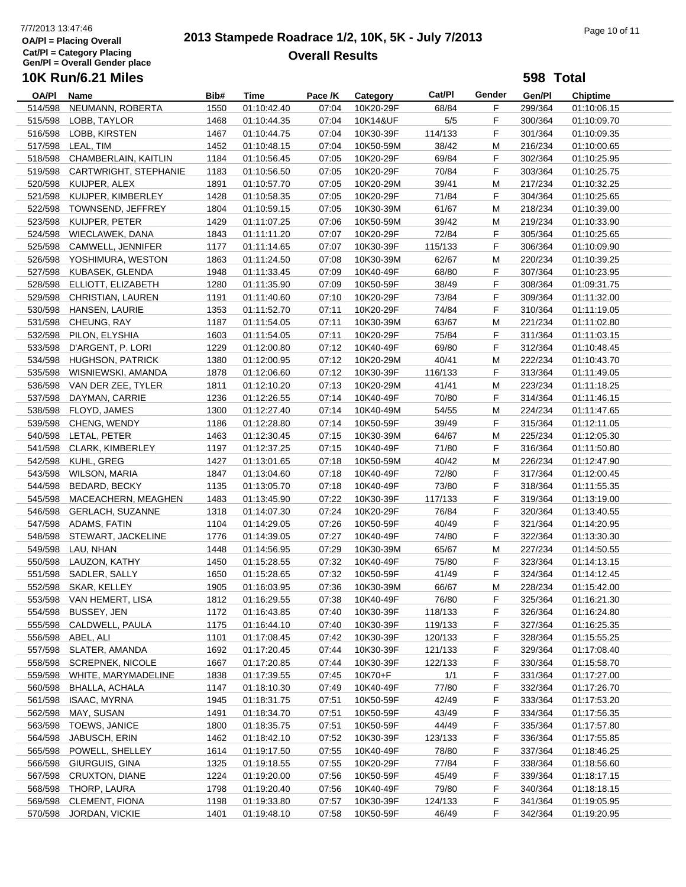# 7/7/2013 13:47:46<br> **2013 Stampede Roadrace 1/2, 10K, 5K - July 7/2013** Page 10 of 11<br> **Page 10 of 11 Overall Results**

**598 Total**

| OA/PI   | Name                       | Bib# | Time        | Pace /K | Category  | Cat/Pl  | Gender | Gen/Pl  | <b>Chiptime</b> |
|---------|----------------------------|------|-------------|---------|-----------|---------|--------|---------|-----------------|
| 514/598 | NEUMANN, ROBERTA           | 1550 | 01:10:42.40 | 07:04   | 10K20-29F | 68/84   | F      | 299/364 | 01:10:06.15     |
| 515/598 | LOBB, TAYLOR               | 1468 | 01:10:44.35 | 07:04   | 10K14&UF  | 5/5     | F      | 300/364 | 01:10:09.70     |
| 516/598 | LOBB, KIRSTEN              | 1467 | 01:10:44.75 | 07:04   | 10K30-39F | 114/133 | F      | 301/364 | 01:10:09.35     |
| 517/598 | LEAL, TIM                  | 1452 | 01:10:48.15 | 07:04   | 10K50-59M | 38/42   | M      | 216/234 | 01:10:00.65     |
| 518/598 | CHAMBERLAIN, KAITLIN       | 1184 | 01:10:56.45 | 07:05   | 10K20-29F | 69/84   | F      | 302/364 | 01:10:25.95     |
| 519/598 | CARTWRIGHT, STEPHANIE      | 1183 | 01:10:56.50 | 07:05   | 10K20-29F | 70/84   | F      | 303/364 | 01:10:25.75     |
| 520/598 | KUIJPER, ALEX              | 1891 | 01:10:57.70 | 07:05   | 10K20-29M | 39/41   | M      | 217/234 | 01:10:32.25     |
|         |                            |      |             |         |           |         |        |         |                 |
|         | 521/598 KUIJPER, KIMBERLEY | 1428 | 01:10:58.35 | 07:05   | 10K20-29F | 71/84   | F      | 304/364 | 01:10:25.65     |
| 522/598 | TOWNSEND, JEFFREY          | 1804 | 01:10:59.15 | 07:05   | 10K30-39M | 61/67   | М      | 218/234 | 01:10:39.00     |
| 523/598 | KUIJPER, PETER             | 1429 | 01:11:07.25 | 07:06   | 10K50-59M | 39/42   | M      | 219/234 | 01:10:33.90     |
| 524/598 | WIECLAWEK, DANA            | 1843 | 01:11:11.20 | 07:07   | 10K20-29F | 72/84   | F      | 305/364 | 01:10:25.65     |
| 525/598 | CAMWELL, JENNIFER          | 1177 | 01:11:14.65 | 07:07   | 10K30-39F | 115/133 | F      | 306/364 | 01:10:09.90     |
|         | 526/598 YOSHIMURA, WESTON  | 1863 | 01:11:24.50 | 07:08   | 10K30-39M | 62/67   | M      | 220/234 | 01:10:39.25     |
| 527/598 | KUBASEK, GLENDA            | 1948 | 01:11:33.45 | 07:09   | 10K40-49F | 68/80   | F      | 307/364 | 01:10:23.95     |
| 528/598 | ELLIOTT, ELIZABETH         | 1280 | 01:11:35.90 | 07:09   | 10K50-59F | 38/49   | F      | 308/364 | 01:09:31.75     |
| 529/598 | CHRISTIAN, LAUREN          | 1191 | 01:11:40.60 | 07:10   | 10K20-29F | 73/84   | F      | 309/364 | 01:11:32.00     |
| 530/598 | HANSEN, LAURIE             | 1353 | 01:11:52.70 | 07:11   | 10K20-29F | 74/84   | F      | 310/364 | 01:11:19.05     |
| 531/598 | CHEUNG, RAY                | 1187 | 01:11:54.05 | 07:11   | 10K30-39M | 63/67   | M      | 221/234 | 01:11:02.80     |
| 532/598 | PILON, ELYSHIA             | 1603 | 01:11:54.05 | 07:11   | 10K20-29F | 75/84   | F      | 311/364 | 01:11:03.15     |
| 533/598 | D'ARGENT, P. LORI          | 1229 | 01:12:00.80 | 07:12   | 10K40-49F | 69/80   | F      | 312/364 | 01:10:48.45     |
| 534/598 | HUGHSON, PATRICK           | 1380 | 01:12:00.95 | 07:12   | 10K20-29M | 40/41   | M      | 222/234 | 01:10:43.70     |
| 535/598 | WISNIEWSKI, AMANDA         | 1878 | 01:12:06.60 | 07:12   | 10K30-39F | 116/133 | F      | 313/364 | 01:11:49.05     |
|         | 536/598 VAN DER ZEE, TYLER | 1811 | 01:12:10.20 | 07:13   | 10K20-29M | 41/41   | M      | 223/234 | 01:11:18.25     |
|         | DAYMAN, CARRIE             |      |             |         |           |         |        |         |                 |
| 537/598 |                            | 1236 | 01:12:26.55 | 07:14   | 10K40-49F | 70/80   | F      | 314/364 | 01:11:46.15     |
| 538/598 | FLOYD, JAMES               | 1300 | 01:12:27.40 | 07:14   | 10K40-49M | 54/55   | M      | 224/234 | 01:11:47.65     |
| 539/598 | CHENG, WENDY               | 1186 | 01:12:28.80 | 07:14   | 10K50-59F | 39/49   | F      | 315/364 | 01:12:11.05     |
| 540/598 | LETAL, PETER               | 1463 | 01:12:30.45 | 07:15   | 10K30-39M | 64/67   | M      | 225/234 | 01:12:05.30     |
| 541/598 | <b>CLARK, KIMBERLEY</b>    | 1197 | 01:12:37.25 | 07:15   | 10K40-49F | 71/80   | F      | 316/364 | 01:11:50.80     |
| 542/598 | KUHL, GREG                 | 1427 | 01:13:01.65 | 07:18   | 10K50-59M | 40/42   | M      | 226/234 | 01:12:47.90     |
| 543/598 | <b>WILSON, MARIA</b>       | 1847 | 01:13:04.60 | 07:18   | 10K40-49F | 72/80   | F      | 317/364 | 01:12:00.45     |
| 544/598 | <b>BEDARD, BECKY</b>       | 1135 | 01:13:05.70 | 07:18   | 10K40-49F | 73/80   | F      | 318/364 | 01:11:55.35     |
| 545/598 | MACEACHERN, MEAGHEN        | 1483 | 01:13:45.90 | 07:22   | 10K30-39F | 117/133 | F      | 319/364 | 01:13:19.00     |
| 546/598 | <b>GERLACH, SUZANNE</b>    | 1318 | 01:14:07.30 | 07:24   | 10K20-29F | 76/84   | F      | 320/364 | 01:13:40.55     |
| 547/598 | ADAMS, FATIN               | 1104 | 01:14:29.05 | 07:26   | 10K50-59F | 40/49   | F      | 321/364 | 01:14:20.95     |
| 548/598 | STEWART, JACKELINE         | 1776 | 01:14:39.05 | 07:27   | 10K40-49F | 74/80   | F      | 322/364 | 01:13:30.30     |
| 549/598 | LAU, NHAN                  | 1448 | 01:14:56.95 | 07:29   | 10K30-39M | 65/67   | M      | 227/234 | 01:14:50.55     |
| 550/598 | LAUZON, KATHY              | 1450 | 01:15:28.55 | 07:32   | 10K40-49F | 75/80   | F      | 323/364 | 01:14:13.15     |
| 551/598 | SADLER, SALLY              | 1650 | 01:15:28.65 | 07:32   | 10K50-59F | 41/49   | F      | 324/364 | 01:14:12.45     |
|         | 552/598 SKAR, KELLEY       | 1905 | 01:16:03.95 | 07:36   | 10K30-39M | 66/67   | M      | 228/234 | 01:15:42.00     |
|         | 553/598 VAN HEMERT, LISA   | 1812 | 01:16:29.55 | 07:38   | 10K40-49F | 76/80   | F      | 325/364 | 01:16:21.30     |
| 554/598 | BUSSEY, JEN                | 1172 | 01:16:43.85 | 07:40   | 10K30-39F | 118/133 | F      | 326/364 | 01:16:24.80     |
| 555/598 | CALDWELL, PAULA            |      |             |         | 10K30-39F |         |        |         |                 |
|         |                            | 1175 | 01:16:44.10 | 07:40   | 10K30-39F | 119/133 | F      | 327/364 | 01:16:25.35     |
| 556/598 | ABEL, ALI                  | 1101 | 01:17:08.45 | 07:42   |           | 120/133 | F.     | 328/364 | 01:15:55.25     |
| 557/598 | SLATER, AMANDA             | 1692 | 01:17:20.45 | 07:44   | 10K30-39F | 121/133 | F.     | 329/364 | 01:17:08.40     |
| 558/598 | <b>SCREPNEK, NICOLE</b>    | 1667 | 01:17:20.85 | 07:44   | 10K30-39F | 122/133 | F.     | 330/364 | 01:15:58.70     |
| 559/598 | WHITE, MARYMADELINE        | 1838 | 01:17:39.55 | 07:45   | 10K70+F   | 1/1     | F.     | 331/364 | 01:17:27.00     |
| 560/598 | BHALLA, ACHALA             | 1147 | 01:18:10.30 | 07:49   | 10K40-49F | 77/80   | F      | 332/364 | 01:17:26.70     |
| 561/598 | ISAAC, MYRNA               | 1945 | 01:18:31.75 | 07:51   | 10K50-59F | 42/49   | F.     | 333/364 | 01:17:53.20     |
| 562/598 | MAY, SUSAN                 | 1491 | 01:18:34.70 | 07:51   | 10K50-59F | 43/49   | F.     | 334/364 | 01:17:56.35     |
| 563/598 | TOEWS, JANICE              | 1800 | 01:18:35.75 | 07:51   | 10K50-59F | 44/49   | F.     | 335/364 | 01:17:57.80     |
| 564/598 | JABUSCH, ERIN              | 1462 | 01:18:42.10 | 07:52   | 10K30-39F | 123/133 | F.     | 336/364 | 01:17:55.85     |
| 565/598 | POWELL, SHELLEY            | 1614 | 01:19:17.50 | 07:55   | 10K40-49F | 78/80   | F.     | 337/364 | 01:18:46.25     |
| 566/598 | GIURGUIS, GINA             | 1325 | 01:19:18.55 | 07:55   | 10K20-29F | 77/84   | F.     | 338/364 | 01:18:56.60     |
| 567/598 | <b>CRUXTON, DIANE</b>      | 1224 | 01:19:20.00 | 07:56   | 10K50-59F | 45/49   | F,     | 339/364 | 01:18:17.15     |
| 568/598 | THORP, LAURA               | 1798 | 01:19:20.40 | 07:56   | 10K40-49F | 79/80   | F      | 340/364 | 01:18:18.15     |
| 569/598 | <b>CLEMENT, FIONA</b>      | 1198 | 01:19:33.80 | 07:57   | 10K30-39F | 124/133 | F.     | 341/364 | 01:19:05.95     |
| 570/598 | JORDAN, VICKIE             | 1401 | 01:19:48.10 | 07:58   | 10K50-59F | 46/49   | F.     | 342/364 | 01:19:20.95     |
|         |                            |      |             |         |           |         |        |         |                 |